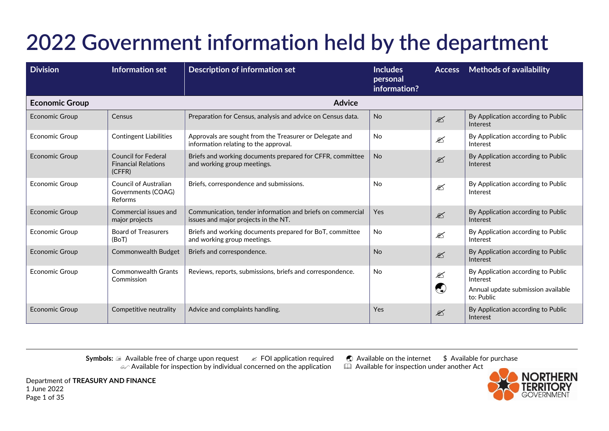| <b>Division</b>       | Information set                                                    | <b>Description of information set</b>                                                              | <b>Includes</b><br>personal<br>information? |                                                                         | <b>Access</b> Methods of availability                                                              |
|-----------------------|--------------------------------------------------------------------|----------------------------------------------------------------------------------------------------|---------------------------------------------|-------------------------------------------------------------------------|----------------------------------------------------------------------------------------------------|
| <b>Economic Group</b> |                                                                    | <b>Advice</b>                                                                                      |                                             |                                                                         |                                                                                                    |
| <b>Economic Group</b> | Census                                                             | Preparation for Census, analysis and advice on Census data.                                        | <b>No</b>                                   | $\mathbb{Z}$                                                            | By Application according to Public<br>Interest                                                     |
| <b>Economic Group</b> | <b>Contingent Liabilities</b>                                      | Approvals are sought from the Treasurer or Delegate and<br>information relating to the approval.   | <b>No</b>                                   | $\mathscr{\mathscr{E}}$                                                 | By Application according to Public<br>Interest                                                     |
| <b>Economic Group</b> | <b>Council for Federal</b><br><b>Financial Relations</b><br>(CFFR) | Briefs and working documents prepared for CFFR, committee<br>and working group meetings.           | <b>No</b>                                   | $\mathscr{L}$                                                           | By Application according to Public<br>Interest                                                     |
| <b>Economic Group</b> | Council of Australian<br>Governments (COAG)<br>Reforms             | Briefs, correspondence and submissions.                                                            | <b>No</b>                                   | $\mathscr{\mathscr{L}}$                                                 | By Application according to Public<br>Interest                                                     |
| <b>Economic Group</b> | Commercial issues and<br>major projects                            | Communication, tender information and briefs on commercial<br>issues and major projects in the NT. | Yes                                         | $\mathscr{L}$                                                           | By Application according to Public<br>Interest                                                     |
| <b>Economic Group</b> | <b>Board of Treasurers</b><br>(BoT)                                | Briefs and working documents prepared for BoT, committee<br>and working group meetings.            | <b>No</b>                                   | $\mathscr{\mathscr{E}}$                                                 | By Application according to Public<br>Interest                                                     |
| <b>Economic Group</b> | <b>Commonwealth Budget</b>                                         | Briefs and correspondence.                                                                         | <b>No</b>                                   | $\mathscr{L}$                                                           | By Application according to Public<br>Interest                                                     |
| <b>Economic Group</b> | <b>Commonwealth Grants</b><br>Commission                           | Reviews, reports, submissions, briefs and correspondence.                                          | <b>No</b>                                   | €<br>$\left(\begin{smallmatrix} 1\\ 1\\ 1\\ 1 \end{smallmatrix}\right)$ | By Application according to Public<br>Interest<br>Annual update submission available<br>to: Public |
| <b>Economic Group</b> | Competitive neutrality                                             | Advice and complaints handling.                                                                    | Yes                                         | $\mathscr{L}$                                                           | By Application according to Public<br>Interest                                                     |

**Symbols:**  $\subseteq$  Available free of charge upon request  $\leq$  FOI application required  $\bigcirc$  Available on the internet  $\circ$  Available for purchase  $\circ \sim$  Available for inspection by individual concerned on the application  $\mathcal{A}$  Available for inspection by individual concerned on the application



Department of **TREASURY AND FINANCE** 1 June 2022 Page 1 of 35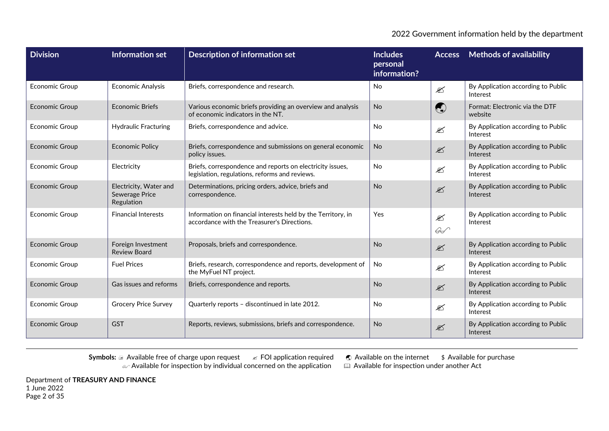| <b>Division</b>       | <b>Information set</b>                                 | <b>Description of information set</b>                                                                       | <b>Includes</b><br>personal<br>information? | <b>Access</b>                            | Methods of availability                        |
|-----------------------|--------------------------------------------------------|-------------------------------------------------------------------------------------------------------------|---------------------------------------------|------------------------------------------|------------------------------------------------|
| <b>Economic Group</b> | <b>Economic Analysis</b>                               | Briefs, correspondence and research.                                                                        | <b>No</b>                                   | $\mathscr{\mathscr{L}}$                  | By Application according to Public<br>Interest |
| <b>Economic Group</b> | <b>Economic Briefs</b>                                 | Various economic briefs providing an overview and analysis<br>of economic indicators in the NT.             | <b>No</b>                                   | $\begin{pmatrix} 1 \\ 2 \end{pmatrix}$   | Format: Electronic via the DTF<br>website      |
| <b>Economic Group</b> | <b>Hydraulic Fracturing</b>                            | Briefs, correspondence and advice.                                                                          | <b>No</b>                                   | $\mathscr{\mathscr{L}}$                  | By Application according to Public<br>Interest |
| <b>Economic Group</b> | <b>Economic Policy</b>                                 | Briefs, correspondence and submissions on general economic<br>policy issues.                                | <b>No</b>                                   | $\mathscr{\mathscr{L}}$                  | By Application according to Public<br>Interest |
| <b>Economic Group</b> | Electricity                                            | Briefs, correspondence and reports on electricity issues,<br>legislation, regulations, reforms and reviews. | <b>No</b>                                   | $\mathscr{\mathscr{E}}$                  | By Application according to Public<br>Interest |
| <b>Economic Group</b> | Electricity, Water and<br>Sewerage Price<br>Regulation | Determinations, pricing orders, advice, briefs and<br>correspondence.                                       | <b>No</b>                                   | $\mathscr{\mathscr{L}}$                  | By Application according to Public<br>Interest |
| <b>Economic Group</b> | <b>Financial Interests</b>                             | Information on financial interests held by the Territory, in<br>accordance with the Treasurer's Directions. | Yes                                         | $\mathscr{\mathscr{E}}$<br>$\mathscr{G}$ | By Application according to Public<br>Interest |
| <b>Economic Group</b> | Foreign Investment<br><b>Review Board</b>              | Proposals, briefs and correspondence.                                                                       | <b>No</b>                                   | $\mathscr{\mathscr{L}}$                  | By Application according to Public<br>Interest |
| <b>Economic Group</b> | <b>Fuel Prices</b>                                     | Briefs, research, correspondence and reports, development of<br>the MyFuel NT project.                      | <b>No</b>                                   | €                                        | By Application according to Public<br>Interest |
| <b>Economic Group</b> | Gas issues and reforms                                 | Briefs, correspondence and reports.                                                                         | <b>No</b>                                   | $\mathscr{\mathscr{L}}$                  | By Application according to Public<br>Interest |
| <b>Economic Group</b> | <b>Grocery Price Survey</b>                            | Quarterly reports - discontinued in late 2012.                                                              | <b>No</b>                                   | $\mathscr{L}$                            | By Application according to Public<br>Interest |
| <b>Economic Group</b> | <b>GST</b>                                             | Reports, reviews, submissions, briefs and correspondence.                                                   | <b>No</b>                                   | $\mathscr{\mathscr{E}}$                  | By Application according to Public<br>Interest |

**Symbols:** a Available free of charge upon request  $\mathscr{A}$  FOI application required  $\mathscr{A}$  Available on the internet  $\mathscr{A}$  Available for purchase  $\mathscr{A}$  Available for inspection by individual concerned on the appli  $\alpha$  Available for inspection by individual concerned on the application  $\alpha$ 

Department of **TREASURY AND FINANCE** 1 June 2022 Page 2 of 35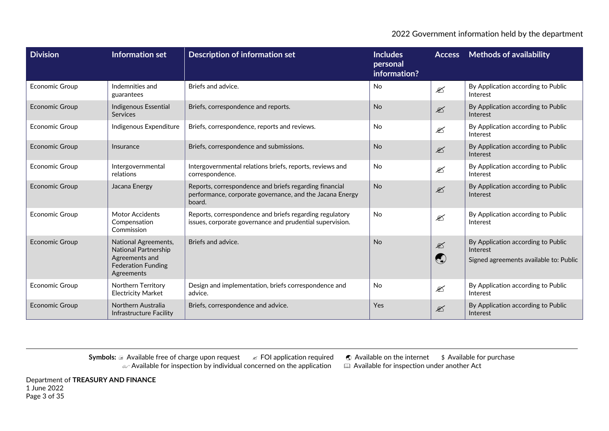| <b>Division</b>       | <b>Information set</b>                                                                                    | <b>Description of information set</b>                                                                                        | <b>Includes</b><br>personal<br>information? | <b>Access</b>               | <b>Methods of availability</b>                                                           |
|-----------------------|-----------------------------------------------------------------------------------------------------------|------------------------------------------------------------------------------------------------------------------------------|---------------------------------------------|-----------------------------|------------------------------------------------------------------------------------------|
| <b>Economic Group</b> | Indemnities and<br>guarantees                                                                             | Briefs and advice.                                                                                                           | <b>No</b>                                   | $\mathscr{\mathscr{L}}$     | By Application according to Public<br>Interest                                           |
| <b>Economic Group</b> | Indigenous Essential<br><b>Services</b>                                                                   | Briefs, correspondence and reports.                                                                                          | <b>No</b>                                   | $\mathscr{\mathscr{L}}$     | By Application according to Public<br>Interest                                           |
| <b>Economic Group</b> | Indigenous Expenditure                                                                                    | Briefs, correspondence, reports and reviews.                                                                                 | No                                          | ⊠                           | By Application according to Public<br>Interest                                           |
| <b>Economic Group</b> | Insurance                                                                                                 | Briefs, correspondence and submissions.                                                                                      | No                                          | $\mathscr{\mathscr{L}}$     | By Application according to Public<br>Interest                                           |
| <b>Economic Group</b> | Intergovernmental<br>relations                                                                            | Intergovernmental relations briefs, reports, reviews and<br>correspondence.                                                  | <b>No</b>                                   | $\mathscr{\mathscr{E}}$     | By Application according to Public<br>Interest                                           |
| <b>Economic Group</b> | Jacana Energy                                                                                             | Reports, correspondence and briefs regarding financial<br>performance, corporate governance, and the Jacana Energy<br>board. | <b>No</b>                                   | $\mathscr{\mathscr{L}}$     | By Application according to Public<br>Interest                                           |
| <b>Economic Group</b> | <b>Motor Accidents</b><br>Compensation<br>Commission                                                      | Reports, correspondence and briefs regarding regulatory<br>issues, corporate governance and prudential supervision.          | <b>No</b>                                   | $\mathscr{\mathscr{E}}$     | By Application according to Public<br>Interest                                           |
| <b>Economic Group</b> | National Agreements,<br>National Partnership<br>Agreements and<br><b>Federation Funding</b><br>Agreements | Briefs and advice.                                                                                                           | <b>No</b>                                   | $\mathscr{L}$<br>$\bigodot$ | By Application according to Public<br>Interest<br>Signed agreements available to: Public |
| <b>Economic Group</b> | Northern Territory<br><b>Electricity Market</b>                                                           | Design and implementation, briefs correspondence and<br>advice.                                                              | <b>No</b>                                   | $\mathscr{\mathscr{E}}$     | By Application according to Public<br>Interest                                           |
| <b>Economic Group</b> | Northern Australia<br>Infrastructure Facility                                                             | Briefs, correspondence and advice.                                                                                           | Yes                                         | $\mathscr{L}$               | By Application according to Public<br>Interest                                           |

**Symbols: a Available free of charge upon request ∠ FOI application required ● Available on the internet \$ Available for purchase**  $\omega$  Available for inspection by individual concerned on the application  $\quad \quad \boxplus \,$  Available for inspection under another Act

Department of **TREASURY AND FINANCE** 1 June 2022 Page 3 of 35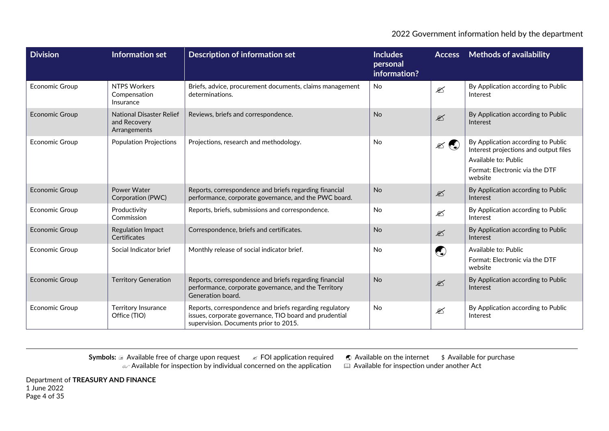| <b>Division</b>       | <b>Information set</b>                                          | <b>Description of information set</b>                                                                                                                      | <b>Includes</b><br>personal<br>information? | <b>Access</b>           | <b>Methods of availability</b>                                                                                                                   |
|-----------------------|-----------------------------------------------------------------|------------------------------------------------------------------------------------------------------------------------------------------------------------|---------------------------------------------|-------------------------|--------------------------------------------------------------------------------------------------------------------------------------------------|
| Economic Group        | <b>NTPS Workers</b><br>Compensation<br>Insurance                | Briefs, advice, procurement documents, claims management<br>determinations.                                                                                | No                                          | $\mathscr{\mathscr{L}}$ | By Application according to Public<br>Interest                                                                                                   |
| <b>Economic Group</b> | <b>National Disaster Relief</b><br>and Recovery<br>Arrangements | Reviews, briefs and correspondence.                                                                                                                        | <b>No</b>                                   | $\mathscr{L}$           | By Application according to Public<br>Interest                                                                                                   |
| <b>Economic Group</b> | <b>Population Projections</b>                                   | Projections, research and methodology.                                                                                                                     | No                                          | $\mathbb{Z}$            | By Application according to Public<br>Interest projections and output files<br>Available to: Public<br>Format: Electronic via the DTF<br>website |
| <b>Economic Group</b> | Power Water<br>Corporation (PWC)                                | Reports, correspondence and briefs regarding financial<br>performance, corporate governance, and the PWC board.                                            | <b>No</b>                                   | $\mathscr{\mathscr{L}}$ | By Application according to Public<br>Interest                                                                                                   |
| <b>Economic Group</b> | Productivity<br>Commission                                      | Reports, briefs, submissions and correspondence.                                                                                                           | <b>No</b>                                   | $\mathscr{L}$           | By Application according to Public<br>Interest                                                                                                   |
| <b>Economic Group</b> | <b>Regulation Impact</b><br>Certificates                        | Correspondence, briefs and certificates.                                                                                                                   | <b>No</b>                                   | $\mathscr{L}$           | By Application according to Public<br>Interest                                                                                                   |
| <b>Economic Group</b> | Social Indicator brief                                          | Monthly release of social indicator brief.                                                                                                                 | <b>No</b>                                   | $\bigodot$              | Available to: Public<br>Format: Electronic via the DTF<br>website                                                                                |
| <b>Economic Group</b> | <b>Territory Generation</b>                                     | Reports, correspondence and briefs regarding financial<br>performance, corporate governance, and the Territory<br>Generation board.                        | <b>No</b>                                   | $\mathscr{\mathscr{L}}$ | By Application according to Public<br>Interest                                                                                                   |
| <b>Economic Group</b> | <b>Territory Insurance</b><br>Office (TIO)                      | Reports, correspondence and briefs regarding regulatory<br>issues, corporate governance, TIO board and prudential<br>supervision. Documents prior to 2015. | <b>No</b>                                   | $\mathscr{\mathscr{E}}$ | By Application according to Public<br>Interest                                                                                                   |

Department of **TREASURY AND FINANCE** 1 June 2022 Page 4 of 35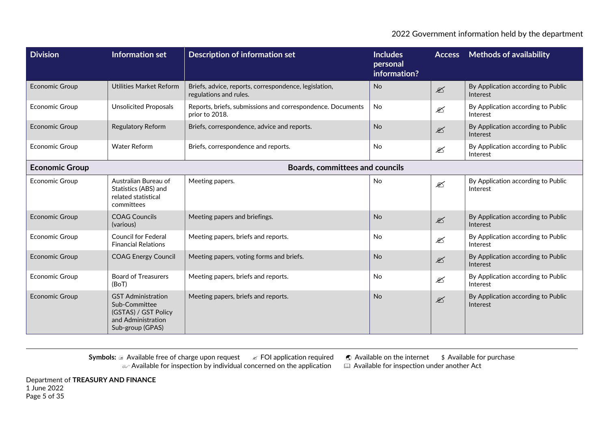| <b>Division</b>                                                 | Information set                                                                                              | <b>Description of information set</b>                                           | <b>Includes</b><br>personal<br>information? | <b>Access</b>           | <b>Methods of availability</b>                 |
|-----------------------------------------------------------------|--------------------------------------------------------------------------------------------------------------|---------------------------------------------------------------------------------|---------------------------------------------|-------------------------|------------------------------------------------|
| <b>Economic Group</b>                                           | Utilities Market Reform                                                                                      | Briefs, advice, reports, correspondence, legislation,<br>regulations and rules. | <b>No</b>                                   | $\mathscr{\mathscr{L}}$ | By Application according to Public<br>Interest |
| <b>Economic Group</b>                                           | <b>Unsolicited Proposals</b>                                                                                 | Reports, briefs, submissions and correspondence. Documents<br>prior to 2018.    | No                                          | $\mathscr{\mathscr{E}}$ | By Application according to Public<br>Interest |
| <b>Economic Group</b>                                           | <b>Regulatory Reform</b>                                                                                     | Briefs, correspondence, advice and reports.                                     | <b>No</b>                                   | $\mathscr{\mathscr{E}}$ | By Application according to Public<br>Interest |
| <b>Economic Group</b>                                           | <b>Water Reform</b>                                                                                          | Briefs, correspondence and reports.                                             | No                                          | $\mathscr{\mathscr{E}}$ | By Application according to Public<br>Interest |
| <b>Boards, committees and councils</b><br><b>Economic Group</b> |                                                                                                              |                                                                                 |                                             |                         |                                                |
| <b>Economic Group</b>                                           | Australian Bureau of<br>Statistics (ABS) and<br>related statistical<br>committees                            | Meeting papers.                                                                 | No                                          | €                       | By Application according to Public<br>Interest |
| <b>Economic Group</b>                                           | <b>COAG Councils</b><br>(various)                                                                            | Meeting papers and briefings.                                                   | <b>No</b>                                   | $\mathscr{\mathscr{E}}$ | By Application according to Public<br>Interest |
| <b>Economic Group</b>                                           | <b>Council for Federal</b><br><b>Financial Relations</b>                                                     | Meeting papers, briefs and reports.                                             | No                                          | €                       | By Application according to Public<br>Interest |
| <b>Economic Group</b>                                           | <b>COAG Energy Council</b>                                                                                   | Meeting papers, voting forms and briefs.                                        | <b>No</b>                                   | $\mathscr{\mathscr{E}}$ | By Application according to Public<br>Interest |
| <b>Economic Group</b>                                           | <b>Board of Treasurers</b><br>(BoT)                                                                          | Meeting papers, briefs and reports.                                             | <b>No</b>                                   | €                       | By Application according to Public<br>Interest |
| <b>Economic Group</b>                                           | <b>GST Administration</b><br>Sub-Committee<br>(GSTAS) / GST Policy<br>and Administration<br>Sub-group (GPAS) | Meeting papers, briefs and reports.                                             | <b>No</b>                                   | $\mathscr{\mathscr{E}}$ | By Application according to Public<br>Interest |

**Symbols: a Available free of charge upon request ∠ FOI application required ● Available on the internet \$ Available for purchase**  $\omega$  Available for inspection by individual concerned on the application  $\quad \quad \boxplus \,$  Available for inspection under another Act

Department of **TREASURY AND FINANCE** 1 June 2022 Page 5 of 35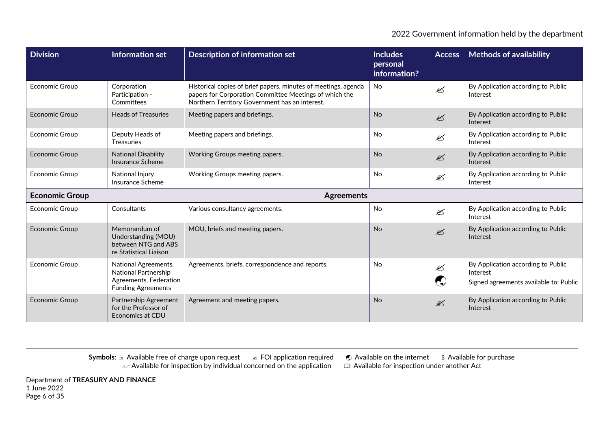| <b>Division</b>       | Information set                                                                                     | <b>Description of information set</b>                                                                                                                                      | <b>Includes</b><br>personal<br>information? | <b>Access</b>                                                                        | <b>Methods of availability</b>                                                           |
|-----------------------|-----------------------------------------------------------------------------------------------------|----------------------------------------------------------------------------------------------------------------------------------------------------------------------------|---------------------------------------------|--------------------------------------------------------------------------------------|------------------------------------------------------------------------------------------|
| <b>Economic Group</b> | Corporation<br>Participation -<br>Committees                                                        | Historical copies of brief papers, minutes of meetings, agenda<br>papers for Corporation Committee Meetings of which the<br>Northern Territory Government has an interest. | <b>No</b>                                   | $\mathscr{\mathscr{E}}$                                                              | By Application according to Public<br>Interest                                           |
| <b>Economic Group</b> | <b>Heads of Treasuries</b>                                                                          | Meeting papers and briefings.                                                                                                                                              | <b>No</b>                                   | $\mathscr{L}$                                                                        | By Application according to Public<br>Interest                                           |
| Economic Group        | Deputy Heads of<br><b>Treasuries</b>                                                                | Meeting papers and briefings.                                                                                                                                              | <b>No</b>                                   | $\mathscr{L}$                                                                        | By Application according to Public<br>Interest                                           |
| <b>Economic Group</b> | <b>National Disability</b><br>Insurance Scheme                                                      | Working Groups meeting papers.                                                                                                                                             | <b>No</b>                                   | $\mathscr{L}$                                                                        | By Application according to Public<br>Interest                                           |
| <b>Economic Group</b> | National Injury<br>Insurance Scheme                                                                 | Working Groups meeting papers.                                                                                                                                             | <b>No</b>                                   | $\mathfrak{D}$                                                                       | By Application according to Public<br>Interest                                           |
| <b>Economic Group</b> |                                                                                                     | <b>Agreements</b>                                                                                                                                                          |                                             |                                                                                      |                                                                                          |
| <b>Economic Group</b> | Consultants                                                                                         | Various consultancy agreements.                                                                                                                                            | No                                          | $\mathscr{\mathscr{L}}$                                                              | By Application according to Public<br>Interest                                           |
| <b>Economic Group</b> | Memorandum of<br>Understanding (MOU)<br>between NTG and ABS<br>re Statistical Liaison               | MOU, briefs and meeting papers.                                                                                                                                            | <b>No</b>                                   | $\mathscr{L}$                                                                        | By Application according to Public<br>Interest                                           |
| <b>Economic Group</b> | National Agreements,<br>National Partnership<br>Agreements, Federation<br><b>Funding Agreements</b> | Agreements, briefs, correspondence and reports.                                                                                                                            | <b>No</b>                                   | $\mathfrak{D}$<br>$\left(\begin{smallmatrix} 1\\ 1\\ 1\\ 1 \end{smallmatrix}\right)$ | By Application according to Public<br>Interest<br>Signed agreements available to: Public |
| <b>Economic Group</b> | Partnership Agreement<br>for the Professor of<br>Economics at CDU                                   | Agreement and meeting papers.                                                                                                                                              | <b>No</b>                                   | $\mathscr{\mathscr{L}}$                                                              | By Application according to Public<br>Interest                                           |

**Symbols: a Available free of charge upon request ∠ FOI application required ● Available on the internet \$ Available for purchase**  $\omega$  Available for inspection by individual concerned on the application  $\quad \quad \boxplus \,$  Available for inspection under another Act

Department of **TREASURY AND FINANCE** 1 June 2022 Page 6 of 35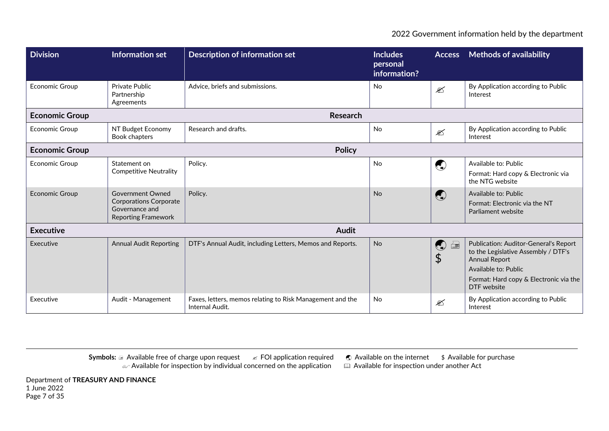| <b>Division</b>       | <b>Information set</b>                                                                                   | <b>Description of information set</b>                                        | <b>Includes</b><br>personal<br>information? | <b>Access</b>                          | <b>Methods of availability</b>                                                                                                                                                               |
|-----------------------|----------------------------------------------------------------------------------------------------------|------------------------------------------------------------------------------|---------------------------------------------|----------------------------------------|----------------------------------------------------------------------------------------------------------------------------------------------------------------------------------------------|
| <b>Economic Group</b> | Private Public<br>Partnership<br>Agreements                                                              | Advice, briefs and submissions.                                              | <b>No</b>                                   | $\mathscr{\mathscr{E}}$                | By Application according to Public<br>Interest                                                                                                                                               |
| <b>Economic Group</b> |                                                                                                          | <b>Research</b>                                                              |                                             |                                        |                                                                                                                                                                                              |
| <b>Economic Group</b> | NT Budget Economy<br>Book chapters                                                                       | Research and drafts.                                                         | <b>No</b>                                   | $\mathscr{\mathscr{E}}$                | By Application according to Public<br>Interest                                                                                                                                               |
| <b>Economic Group</b> |                                                                                                          |                                                                              |                                             |                                        |                                                                                                                                                                                              |
| <b>Economic Group</b> | Statement on<br><b>Competitive Neutrality</b>                                                            | Policy.                                                                      | No                                          | $\bigodot$                             | Available to: Public<br>Format: Hard copy & Electronic via<br>the NTG website                                                                                                                |
| <b>Economic Group</b> | <b>Government Owned</b><br><b>Corporations Corporate</b><br>Governance and<br><b>Reporting Framework</b> | Policy.                                                                      | <b>No</b>                                   | $\begin{pmatrix} 1 \\ 1 \end{pmatrix}$ | Available to: Public<br>Format: Electronic via the NT<br>Parliament website                                                                                                                  |
| <b>Executive</b>      |                                                                                                          | <b>Audit</b>                                                                 |                                             |                                        |                                                                                                                                                                                              |
| Executive             | <b>Annual Audit Reporting</b>                                                                            | DTF's Annual Audit, including Letters, Memos and Reports.                    | <b>No</b>                                   | $\bigodot$<br>$\Box$<br>\$             | <b>Publication: Auditor-General's Report</b><br>to the Legislative Assembly / DTF's<br><b>Annual Report</b><br>Available to: Public<br>Format: Hard copy & Electronic via the<br>DTF website |
| Executive             | Audit - Management                                                                                       | Faxes, letters, memos relating to Risk Management and the<br>Internal Audit. | <b>No</b>                                   | ⊠                                      | By Application according to Public<br>Interest                                                                                                                                               |

**Symbols:** a Available free of charge upon request  $\mathscr{A}$  FOI application required  $\mathscr{A}$  Available on the internet  $\mathscr{A}$  Available for purchase  $\mathscr{A}$  Available for inspection by individual concerned on the appli  $\alpha$  Available for inspection by individual concerned on the application  $\alpha$ 

Department of **TREASURY AND FINANCE** 1 June 2022 Page 7 of 35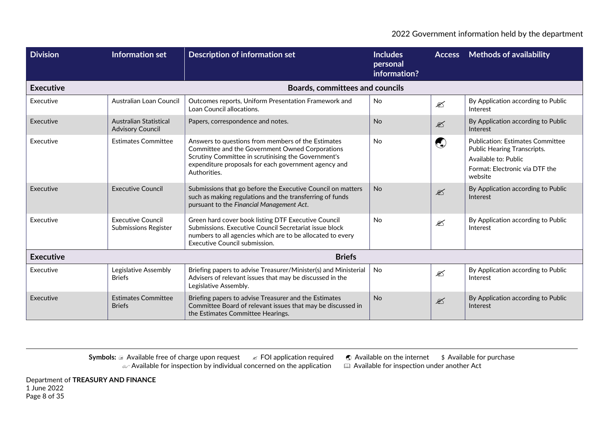| <b>Division</b>  | Information set                                          | <b>Description of information set</b>                                                                                                                                                                                                | <b>Includes</b><br>personal<br>information? | <b>Access</b>           | <b>Methods of availability</b>                                                                                                                     |
|------------------|----------------------------------------------------------|--------------------------------------------------------------------------------------------------------------------------------------------------------------------------------------------------------------------------------------|---------------------------------------------|-------------------------|----------------------------------------------------------------------------------------------------------------------------------------------------|
| <b>Executive</b> |                                                          | <b>Boards, committees and councils</b>                                                                                                                                                                                               |                                             |                         |                                                                                                                                                    |
| Executive        | Australian Loan Council                                  | Outcomes reports, Uniform Presentation Framework and<br>Loan Council allocations.                                                                                                                                                    | No                                          | $\mathscr{L}$           | By Application according to Public<br>Interest                                                                                                     |
| Executive        | <b>Australian Statistical</b><br><b>Advisory Council</b> | Papers, correspondence and notes.                                                                                                                                                                                                    | <b>No</b>                                   | $\mathscr{\mathscr{E}}$ | By Application according to Public<br>Interest                                                                                                     |
| Executive        | <b>Estimates Committee</b>                               | Answers to questions from members of the Estimates<br>Committee and the Government Owned Corporations<br>Scrutiny Committee in scrutinising the Government's<br>expenditure proposals for each government agency and<br>Authorities. | <b>No</b>                                   | O                       | <b>Publication: Estimates Committee</b><br><b>Public Hearing Transcripts.</b><br>Available to: Public<br>Format: Electronic via DTF the<br>website |
| Executive        | <b>Executive Council</b>                                 | Submissions that go before the Executive Council on matters<br>such as making regulations and the transferring of funds<br>pursuant to the Financial Management Act.                                                                 | <b>No</b>                                   | $\mathscr{\mathscr{L}}$ | By Application according to Public<br>Interest                                                                                                     |
| Executive        | <b>Executive Council</b><br><b>Submissions Register</b>  | Green hard cover book listing DTF Executive Council<br>Submissions. Executive Council Secretariat issue block<br>numbers to all agencies which are to be allocated to every<br>Executive Council submission.                         | <b>No</b>                                   | $\mathscr{\mathscr{E}}$ | By Application according to Public<br>Interest                                                                                                     |
| <b>Executive</b> |                                                          | <b>Briefs</b>                                                                                                                                                                                                                        |                                             |                         |                                                                                                                                                    |
| Executive        | Legislative Assembly<br><b>Briefs</b>                    | Briefing papers to advise Treasurer/Minister(s) and Ministerial<br>Advisers of relevant issues that may be discussed in the<br>Legislative Assembly.                                                                                 | <b>No</b>                                   |                         | By Application according to Public<br>Interest                                                                                                     |
| Executive        | <b>Estimates Committee</b><br><b>Briefs</b>              | Briefing papers to advise Treasurer and the Estimates<br>Committee Board of relevant issues that may be discussed in<br>the Estimates Committee Hearings.                                                                            | <b>No</b>                                   | $\mathscr{\mathscr{L}}$ | By Application according to Public<br>Interest                                                                                                     |

Department of **TREASURY AND FINANCE** 1 June 2022 Page 8 of 35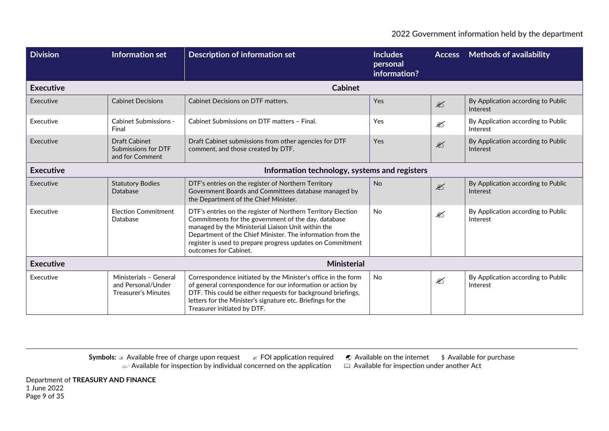| <b>Division</b>  | Information set                                                     | <b>Description of information set</b>                                                                                                                                                                                                                                                                                          | <b>Includes</b><br>personal<br>information? | <b>Access</b>           | <b>Methods of availability</b>                 |  |
|------------------|---------------------------------------------------------------------|--------------------------------------------------------------------------------------------------------------------------------------------------------------------------------------------------------------------------------------------------------------------------------------------------------------------------------|---------------------------------------------|-------------------------|------------------------------------------------|--|
| <b>Executive</b> |                                                                     | <b>Cabinet</b>                                                                                                                                                                                                                                                                                                                 |                                             |                         |                                                |  |
| Executive        | <b>Cabinet Decisions</b>                                            | Cabinet Decisions on DTF matters.                                                                                                                                                                                                                                                                                              | Yes                                         | $\mathscr{\mathscr{L}}$ | By Application according to Public<br>Interest |  |
| Executive        | <b>Cabinet Submissions -</b><br>Final                               | Cabinet Submissions on DTF matters - Final.                                                                                                                                                                                                                                                                                    | Yes                                         | €                       | By Application according to Public<br>Interest |  |
| Executive        | <b>Draft Cabinet</b><br>Submissions for DTF<br>and for Comment      | Draft Cabinet submissions from other agencies for DTF<br>comment, and those created by DTF.                                                                                                                                                                                                                                    | Yes                                         | $\mathscr{\mathscr{L}}$ | By Application according to Public<br>Interest |  |
| <b>Executive</b> | Information technology, systems and registers                       |                                                                                                                                                                                                                                                                                                                                |                                             |                         |                                                |  |
| Executive        | <b>Statutory Bodies</b><br>Database                                 | DTF's entries on the register of Northern Territory<br>Government Boards and Committees database managed by<br>the Department of the Chief Minister.                                                                                                                                                                           | <b>No</b>                                   | $\mathscr{\mathscr{L}}$ | By Application according to Public<br>Interest |  |
| Executive        | <b>Election Commitment</b><br>Database                              | DTF's entries on the register of Northern Territory Election<br>Commitments for the government of the day, database<br>managed by the Ministerial Liaison Unit within the<br>Department of the Chief Minister. The information from the<br>register is used to prepare progress updates on Commitment<br>outcomes for Cabinet. | <b>No</b>                                   | $\mathscr{L}$           | By Application according to Public<br>Interest |  |
| <b>Executive</b> |                                                                     | <b>Ministerial</b>                                                                                                                                                                                                                                                                                                             |                                             |                         |                                                |  |
| Executive        | Ministerials - General<br>and Personal/Under<br>Treasurer's Minutes | Correspondence initiated by the Minister's office in the form<br>of general correspondence for our information or action by<br>DTF. This could be either requests for background briefings,<br>letters for the Minister's signature etc. Briefings for the<br>Treasurer initiated by DTF.                                      | <b>No</b>                                   | $\mathscr{\mathscr{E}}$ | By Application according to Public<br>Interest |  |

Department of **TREASURY AND FINANCE** 1 June 2022 Page 9 of 35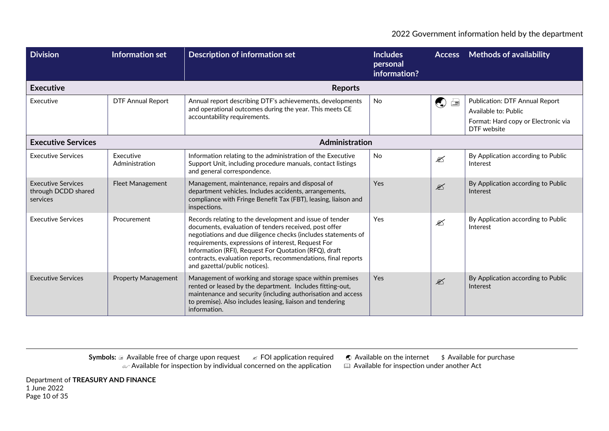| <b>Division</b>                                              | Information set             | <b>Description of information set</b>                                                                                                                                                                                                                                                                                                                                                              | <b>Includes</b><br>personal<br>information? |                         | <b>Access</b> Methods of availability                                                                               |
|--------------------------------------------------------------|-----------------------------|----------------------------------------------------------------------------------------------------------------------------------------------------------------------------------------------------------------------------------------------------------------------------------------------------------------------------------------------------------------------------------------------------|---------------------------------------------|-------------------------|---------------------------------------------------------------------------------------------------------------------|
| <b>Executive</b>                                             |                             | <b>Reports</b>                                                                                                                                                                                                                                                                                                                                                                                     |                                             |                         |                                                                                                                     |
| Executive                                                    | <b>DTF Annual Report</b>    | Annual report describing DTF's achievements, developments<br>and operational outcomes during the year. This meets CE<br>accountability requirements.                                                                                                                                                                                                                                               | <b>No</b>                                   | $\bigcirc$              | <b>Publication: DTF Annual Report</b><br>Available to: Public<br>Format: Hard copy or Electronic via<br>DTF website |
| <b>Executive Services</b>                                    |                             | Administration                                                                                                                                                                                                                                                                                                                                                                                     |                                             |                         |                                                                                                                     |
| <b>Executive Services</b>                                    | Executive<br>Administration | Information relating to the administration of the Executive<br>Support Unit, including procedure manuals, contact listings<br>and general correspondence.                                                                                                                                                                                                                                          | <b>No</b>                                   | ⊠                       | By Application according to Public<br>Interest                                                                      |
| <b>Executive Services</b><br>through DCDD shared<br>services | <b>Fleet Management</b>     | Management, maintenance, repairs and disposal of<br>department vehicles. Includes accidents, arrangements,<br>compliance with Fringe Benefit Tax (FBT), leasing, liaison and<br>inspections.                                                                                                                                                                                                       | Yes                                         | $\mathscr{\mathscr{L}}$ | By Application according to Public<br>Interest                                                                      |
| <b>Executive Services</b>                                    | Procurement                 | Records relating to the development and issue of tender<br>documents, evaluation of tenders received, post offer<br>negotiations and due diligence checks (includes statements of<br>requirements, expressions of interest, Request For<br>Information (RFI), Request For Quotation (RFQ), draft<br>contracts, evaluation reports, recommendations, final reports<br>and gazettal/public notices). | Yes                                         | ⊠                       | By Application according to Public<br>Interest                                                                      |
| <b>Executive Services</b>                                    | <b>Property Management</b>  | Management of working and storage space within premises<br>rented or leased by the department. Includes fitting-out,<br>maintenance and security (including authorisation and access<br>to premise). Also includes leasing, liaison and tendering<br>information.                                                                                                                                  | Yes                                         | $\mathscr{\mathscr{E}}$ | By Application according to Public<br>Interest                                                                      |

Department of **TREASURY AND FINANCE** 1 June 2022 Page 10 of 35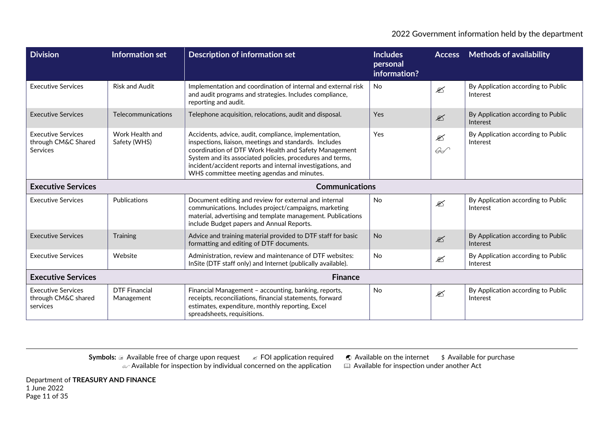| <b>Division</b>                                                     | Information set                    | Description of information set                                                                                                                                                                                                                                                                                                                    | <b>Includes</b><br>personal<br>information? | <b>Access</b>                  | <b>Methods of availability</b>                 |
|---------------------------------------------------------------------|------------------------------------|---------------------------------------------------------------------------------------------------------------------------------------------------------------------------------------------------------------------------------------------------------------------------------------------------------------------------------------------------|---------------------------------------------|--------------------------------|------------------------------------------------|
| <b>Executive Services</b>                                           | <b>Risk and Audit</b>              | Implementation and coordination of internal and external risk<br>and audit programs and strategies. Includes compliance,<br>reporting and audit.                                                                                                                                                                                                  | <b>No</b>                                   | $\mathscr{L}$                  | By Application according to Public<br>Interest |
| <b>Executive Services</b>                                           | Telecommunications                 | Telephone acquisition, relocations, audit and disposal.                                                                                                                                                                                                                                                                                           | Yes                                         | $\mathscr{L}$                  | By Application according to Public<br>Interest |
| <b>Executive Services</b><br>through CM&C Shared<br><b>Services</b> | Work Health and<br>Safety (WHS)    | Accidents, advice, audit, compliance, implementation,<br>inspections, liaison, meetings and standards. Includes<br>coordination of DTF Work Health and Safety Management<br>System and its associated policies, procedures and terms,<br>incident/accident reports and internal investigations, and<br>WHS committee meeting agendas and minutes. | Yes                                         | $\mathscr{L}$<br>$\mathscr{G}$ | By Application according to Public<br>Interest |
| <b>Executive Services</b>                                           |                                    | <b>Communications</b>                                                                                                                                                                                                                                                                                                                             |                                             |                                |                                                |
| <b>Executive Services</b>                                           | Publications                       | Document editing and review for external and internal<br>communications. Includes project/campaigns, marketing<br>material, advertising and template management. Publications<br>include Budget papers and Annual Reports.                                                                                                                        | <b>No</b>                                   | $\mathscr{L}$                  | By Application according to Public<br>Interest |
| <b>Executive Services</b>                                           | Training                           | Advice and training material provided to DTF staff for basic<br>formatting and editing of DTF documents.                                                                                                                                                                                                                                          | <b>No</b>                                   | $\mathscr{L}$                  | By Application according to Public<br>Interest |
| <b>Executive Services</b>                                           | Website                            | Administration, review and maintenance of DTF websites:<br>InSite (DTF staff only) and Internet (publically available).                                                                                                                                                                                                                           | No                                          | $\mathscr{L}$                  | By Application according to Public<br>Interest |
| <b>Executive Services</b>                                           |                                    |                                                                                                                                                                                                                                                                                                                                                   |                                             |                                |                                                |
| <b>Executive Services</b><br>through CM&C shared<br>services        | <b>DTF Financial</b><br>Management | Financial Management - accounting, banking, reports,<br>receipts, reconciliations, financial statements, forward<br>estimates, expenditure, monthly reporting, Excel<br>spreadsheets, requisitions.                                                                                                                                               | No                                          | $\mathscr{\mathscr{L}}$        | By Application according to Public<br>Interest |

Department of **TREASURY AND FINANCE** 1 June 2022 Page 11 of 35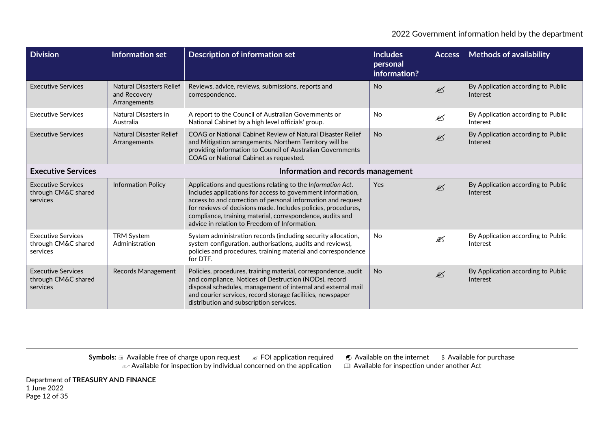| <b>Division</b>                                              | <b>Information set</b>                                          | <b>Description of information set</b>                                                                                                                                                                                                                                                                                                                                     | <b>Includes</b><br>personal<br>information? |                         | <b>Access</b> Methods of availability          |
|--------------------------------------------------------------|-----------------------------------------------------------------|---------------------------------------------------------------------------------------------------------------------------------------------------------------------------------------------------------------------------------------------------------------------------------------------------------------------------------------------------------------------------|---------------------------------------------|-------------------------|------------------------------------------------|
| <b>Executive Services</b>                                    | <b>Natural Disasters Relief</b><br>and Recovery<br>Arrangements | Reviews, advice, reviews, submissions, reports and<br>correspondence.                                                                                                                                                                                                                                                                                                     | <b>No</b>                                   | $\mathbb{Z}$            | By Application according to Public<br>Interest |
| <b>Executive Services</b>                                    | Natural Disasters in<br>Australia                               | A report to the Council of Australian Governments or<br>National Cabinet by a high level officials' group.                                                                                                                                                                                                                                                                | No                                          | ✍                       | By Application according to Public<br>Interest |
| <b>Executive Services</b>                                    | Natural Disaster Relief<br>Arrangements                         | COAG or National Cabinet Review of Natural Disaster Relief<br>and Mitigation arrangements. Northern Territory will be<br>providing information to Council of Australian Governments<br>COAG or National Cabinet as requested.                                                                                                                                             | <b>No</b>                                   | $\mathscr{\mathscr{E}}$ | By Application according to Public<br>Interest |
| <b>Executive Services</b>                                    |                                                                 | Information and records management                                                                                                                                                                                                                                                                                                                                        |                                             |                         |                                                |
| <b>Executive Services</b><br>through CM&C shared<br>services | <b>Information Policy</b>                                       | Applications and questions relating to the Information Act.<br>Includes applications for access to government information,<br>access to and correction of personal information and request<br>for reviews of decisions made. Includes policies, procedures,<br>compliance, training material, correspondence, audits and<br>advice in relation to Freedom of Information. | Yes                                         | $\mathscr{L}$           | By Application according to Public<br>Interest |
| <b>Executive Services</b><br>through CM&C shared<br>services | <b>TRM System</b><br>Administration                             | System administration records (including security allocation,<br>system configuration, authorisations, audits and reviews),<br>policies and procedures, training material and correspondence<br>for DTF.                                                                                                                                                                  | <b>No</b>                                   | ⊠                       | By Application according to Public<br>Interest |
| <b>Executive Services</b><br>through CM&C shared<br>services | Records Management                                              | Policies, procedures, training material, correspondence, audit<br>and compliance, Notices of Destruction (NODs), record<br>disposal schedules, management of internal and external mail<br>and courier services, record storage facilities, newspaper<br>distribution and subscription services.                                                                          | <b>No</b>                                   | $\mathscr{\mathscr{L}}$ | By Application according to Public<br>Interest |

Department of **TREASURY AND FINANCE** 1 June 2022 Page 12 of 35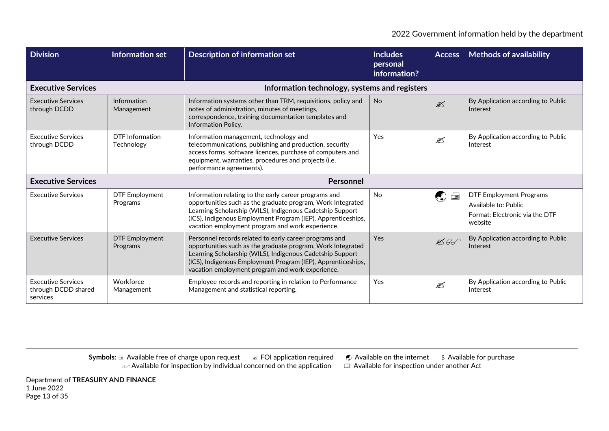| <b>Division</b>                                              | Information set                   | <b>Description of information set</b>                                                                                                                                                                                                                                                                  | <b>Includes</b><br>personal<br>information? |                     | <b>Access</b> Methods of availability                                                               |
|--------------------------------------------------------------|-----------------------------------|--------------------------------------------------------------------------------------------------------------------------------------------------------------------------------------------------------------------------------------------------------------------------------------------------------|---------------------------------------------|---------------------|-----------------------------------------------------------------------------------------------------|
| <b>Executive Services</b>                                    |                                   | Information technology, systems and registers                                                                                                                                                                                                                                                          |                                             |                     |                                                                                                     |
| <b>Executive Services</b><br>through DCDD                    | Information<br>Management         | Information systems other than TRM, requisitions, policy and<br>notes of administration, minutes of meetings,<br>correspondence, training documentation templates and<br>Information Policy.                                                                                                           | <b>No</b>                                   | $\mathscr{L}$       | By Application according to Public<br>Interest                                                      |
| <b>Executive Services</b><br>through DCDD                    | DTF Information<br>Technology     | Information management, technology and<br>telecommunications, publishing and production, security<br>access forms, software licences, purchase of computers and<br>equipment, warranties, procedures and projects (i.e.<br>performance agreements).                                                    | Yes                                         | $\mathscr{L}$       | By Application according to Public<br>Interest                                                      |
| <b>Executive Services</b>                                    |                                   | Personnel                                                                                                                                                                                                                                                                                              |                                             |                     |                                                                                                     |
| <b>Executive Services</b>                                    | <b>DTF Employment</b><br>Programs | Information relating to the early career programs and<br>opportunities such as the graduate program, Work Integrated<br>Learning Scholarship (WILS), Indigenous Cadetship Support<br>(ICS), Indigenous Employment Program (IEP), Apprenticeships,<br>vacation employment program and work experience.  | <b>No</b>                                   | $\mathbb{Q} \equiv$ | <b>DTF Employment Programs</b><br>Available to: Public<br>Format: Electronic via the DTF<br>website |
| <b>Executive Services</b>                                    | <b>DTF</b> Employment<br>Programs | Personnel records related to early career programs and<br>opportunities such as the graduate program, Work Integrated<br>Learning Scholarship (WILS), Indigenous Cadetship Support<br>(ICS), Indigenous Employment Program (IEP), Apprenticeships,<br>vacation employment program and work experience. | Yes                                         | $\mathscr{A}$       | By Application according to Public<br>Interest                                                      |
| <b>Executive Services</b><br>through DCDD shared<br>services | Workforce<br>Management           | Employee records and reporting in relation to Performance<br>Management and statistical reporting.                                                                                                                                                                                                     | Yes                                         | ⊠                   | By Application according to Public<br>Interest                                                      |

Department of **TREASURY AND FINANCE** 1 June 2022 Page 13 of 35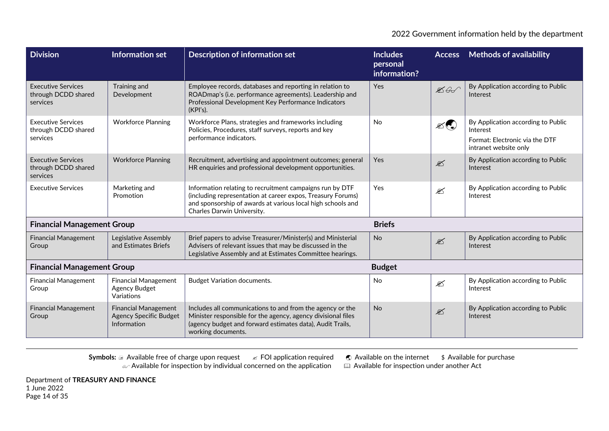| <b>Division</b>                                              | <b>Information set</b>                                                      | <b>Description of information set</b>                                                                                                                                                                                | <b>Includes</b><br>personal<br>information? | <b>Access</b>             | <b>Methods of availability</b>                                                                            |  |
|--------------------------------------------------------------|-----------------------------------------------------------------------------|----------------------------------------------------------------------------------------------------------------------------------------------------------------------------------------------------------------------|---------------------------------------------|---------------------------|-----------------------------------------------------------------------------------------------------------|--|
| <b>Executive Services</b><br>through DCDD shared<br>services | Training and<br>Development                                                 | Employee records, databases and reporting in relation to<br>ROADmap's (i.e. performance agreements). Leadership and<br>Professional Development Key Performance Indicators<br>(KPI's).                               | Yes                                         | $\mathbb{Z}$ G            | By Application according to Public<br>Interest                                                            |  |
| <b>Executive Services</b><br>through DCDD shared<br>services | <b>Workforce Planning</b>                                                   | Workforce Plans, strategies and frameworks including<br>Policies, Procedures, staff surveys, reports and key<br>performance indicators.                                                                              | <b>No</b>                                   | $\mathscr{L}(\mathbb{C})$ | By Application according to Public<br>Interest<br>Format: Electronic via the DTF<br>intranet website only |  |
| <b>Executive Services</b><br>through DCDD shared<br>services | <b>Workforce Planning</b>                                                   | Recruitment, advertising and appointment outcomes; general<br>HR enquiries and professional development opportunities.                                                                                               | Yes                                         | $\mathscr{\mathscr{L}}$   | By Application according to Public<br>Interest                                                            |  |
| <b>Executive Services</b>                                    | Marketing and<br>Promotion                                                  | Information relating to recruitment campaigns run by DTF<br>(including representation at career expos, Treasury Forums)<br>and sponsorship of awards at various local high schools and<br>Charles Darwin University. | Yes                                         | $\mathscr{\mathscr{L}}$   | By Application according to Public<br>Interest                                                            |  |
| <b>Financial Management Group</b>                            |                                                                             |                                                                                                                                                                                                                      | <b>Briefs</b>                               |                           |                                                                                                           |  |
| <b>Financial Management</b><br>Group                         | Legislative Assembly<br>and Estimates Briefs                                | Brief papers to advise Treasurer/Minister(s) and Ministerial<br>Advisers of relevant issues that may be discussed in the<br>Legislative Assembly and at Estimates Committee hearings.                                | <b>No</b>                                   | $\mathscr{\mathscr{L}}$   | By Application according to Public<br>Interest                                                            |  |
| <b>Financial Management Group</b>                            |                                                                             |                                                                                                                                                                                                                      | <b>Budget</b>                               |                           |                                                                                                           |  |
| <b>Financial Management</b><br>Group                         | <b>Financial Management</b><br><b>Agency Budget</b><br>Variations           | <b>Budget Variation documents.</b>                                                                                                                                                                                   | No                                          | $\mathscr{\mathscr{L}}$   | By Application according to Public<br>Interest                                                            |  |
| <b>Financial Management</b><br>Group                         | <b>Financial Management</b><br><b>Agency Specific Budget</b><br>Information | Includes all communications to and from the agency or the<br>Minister responsible for the agency, agency divisional files<br>(agency budget and forward estimates data), Audit Trails,<br>working documents.         | <b>No</b>                                   | $\mathscr{\mathscr{L}}$   | By Application according to Public<br>Interest                                                            |  |

**Symbols: a Available free of charge upon request ∠ FOI application required ● Available on the internet \$ Available for purchase**  $\omega$  Available for inspection by individual concerned on the application  $\quad \quad \boxplus \,$  Available for inspection under another Act

Department of **TREASURY AND FINANCE** 1 June 2022 Page 14 of 35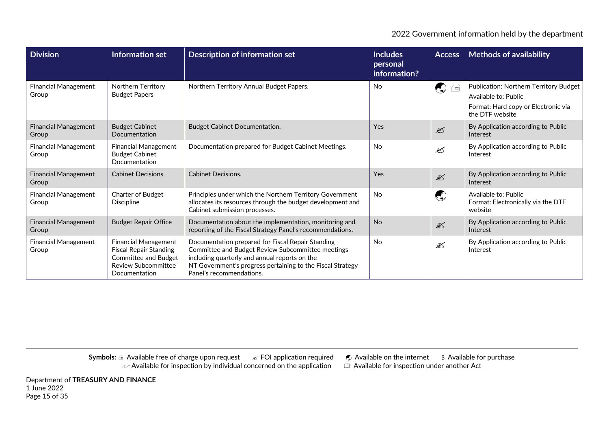| <b>Division</b>                      | <b>Information set</b>                                                                                                              | Description of information set                                                                                                                                                                                                                    | <b>Includes</b><br>personal<br>information? | <b>Access</b>                                                  | <b>Methods of availability</b>                                                                                           |
|--------------------------------------|-------------------------------------------------------------------------------------------------------------------------------------|---------------------------------------------------------------------------------------------------------------------------------------------------------------------------------------------------------------------------------------------------|---------------------------------------------|----------------------------------------------------------------|--------------------------------------------------------------------------------------------------------------------------|
| <b>Financial Management</b><br>Group | Northern Territory<br><b>Budget Papers</b>                                                                                          | Northern Territory Annual Budget Papers.                                                                                                                                                                                                          | <b>No</b>                                   | $\bigcirc$<br>$\equiv$                                         | Publication: Northern Territory Budget<br>Available to: Public<br>Format: Hard copy or Electronic via<br>the DTF website |
| <b>Financial Management</b><br>Group | <b>Budget Cabinet</b><br>Documentation                                                                                              | <b>Budget Cabinet Documentation.</b>                                                                                                                                                                                                              | Yes                                         | $\mathscr{L}$                                                  | By Application according to Public<br>Interest                                                                           |
| Financial Management<br>Group        | Financial Management<br><b>Budget Cabinet</b><br>Documentation                                                                      | Documentation prepared for Budget Cabinet Meetings.                                                                                                                                                                                               | <b>No</b>                                   | $\mathscr{\mathscr{E}}$                                        | By Application according to Public<br>Interest                                                                           |
| <b>Financial Management</b><br>Group | <b>Cabinet Decisions</b>                                                                                                            | <b>Cabinet Decisions.</b>                                                                                                                                                                                                                         | Yes                                         | $\mathscr{L}$                                                  | By Application according to Public<br>Interest                                                                           |
| <b>Financial Management</b><br>Group | Charter of Budget<br><b>Discipline</b>                                                                                              | Principles under which the Northern Territory Government<br>allocates its resources through the budget development and<br>Cabinet submission processes.                                                                                           | N <sub>o</sub>                              | $\left(\begin{smallmatrix} 1\\ 1\\ 1 \end{smallmatrix}\right)$ | Available to: Public<br>Format: Electronically via the DTF<br>website                                                    |
| <b>Financial Management</b><br>Group | <b>Budget Repair Office</b>                                                                                                         | Documentation about the implementation, monitoring and<br>reporting of the Fiscal Strategy Panel's recommendations.                                                                                                                               | <b>No</b>                                   | $\mathscr{L}$                                                  | By Application according to Public<br>Interest                                                                           |
| <b>Financial Management</b><br>Group | Financial Management<br><b>Fiscal Repair Standing</b><br><b>Committee and Budget</b><br><b>Review Subcommittee</b><br>Documentation | Documentation prepared for Fiscal Repair Standing<br>Committee and Budget Review Subcommittee meetings<br>including quarterly and annual reports on the<br>NT Government's progress pertaining to the Fiscal Strategy<br>Panel's recommendations. | <b>No</b>                                   | €                                                              | By Application according to Public<br>Interest                                                                           |

**Symbols: a Available free of charge upon request ∠ FOI application required ● Available on the internet \$ Available for purchase**  $\omega$  Available for inspection by individual concerned on the application  $\quad \quad \boxplus \,$  Available for inspection under another Act

Department of **TREASURY AND FINANCE** 1 June 2022 Page 15 of 35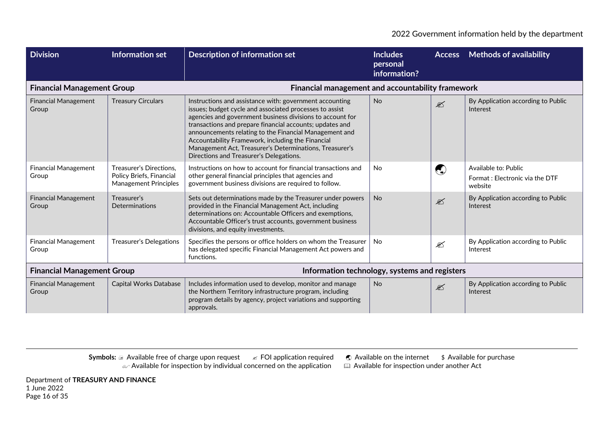| <b>Division</b>                                                                    | Information set                                                                     | <b>Description of information set</b>                                                                                                                                                                                                                                                                                                                                                                                                                            | <b>Includes</b><br>personal<br>information? | <b>Access</b>                                                      | <b>Methods of availability</b>                                    |
|------------------------------------------------------------------------------------|-------------------------------------------------------------------------------------|------------------------------------------------------------------------------------------------------------------------------------------------------------------------------------------------------------------------------------------------------------------------------------------------------------------------------------------------------------------------------------------------------------------------------------------------------------------|---------------------------------------------|--------------------------------------------------------------------|-------------------------------------------------------------------|
| <b>Financial Management Group</b>                                                  |                                                                                     | Financial management and accountability framework                                                                                                                                                                                                                                                                                                                                                                                                                |                                             |                                                                    |                                                                   |
| <b>Financial Management</b><br>Group                                               | <b>Treasury Circulars</b>                                                           | Instructions and assistance with: government accounting<br>issues; budget cycle and associated processes to assist<br>agencies and government business divisions to account for<br>transactions and prepare financial accounts; updates and<br>announcements relating to the Financial Management and<br>Accountability Framework, including the Financial<br>Management Act, Treasurer's Determinations, Treasurer's<br>Directions and Treasurer's Delegations. | <b>No</b>                                   | $\mathbb{Z}$                                                       | By Application according to Public<br>Interest                    |
| <b>Financial Management</b><br>Group                                               | Treasurer's Directions,<br>Policy Briefs, Financial<br><b>Management Principles</b> | Instructions on how to account for financial transactions and<br>other general financial principles that agencies and<br>government business divisions are required to follow.                                                                                                                                                                                                                                                                                   | <b>No</b>                                   | $\left(\begin{smallmatrix} 1\\ 1\\ 1\\ 1 \end{smallmatrix}\right)$ | Available to: Public<br>Format: Electronic via the DTF<br>website |
| <b>Financial Management</b><br>Group                                               | Treasurer's<br><b>Determinations</b>                                                | Sets out determinations made by the Treasurer under powers<br>provided in the Financial Management Act, including<br>determinations on: Accountable Officers and exemptions,<br>Accountable Officer's trust accounts, government business<br>divisions, and equity investments.                                                                                                                                                                                  | <b>No</b>                                   | $\mathscr{L}$                                                      | By Application according to Public<br>Interest                    |
| <b>Financial Management</b><br>Group                                               | <b>Treasurer's Delegations</b>                                                      | Specifies the persons or office holders on whom the Treasurer<br>has delegated specific Financial Management Act powers and<br>functions.                                                                                                                                                                                                                                                                                                                        | <b>No</b>                                   | $\mathscr{\mathscr{E}}$                                            | By Application according to Public<br>Interest                    |
| <b>Financial Management Group</b><br>Information technology, systems and registers |                                                                                     |                                                                                                                                                                                                                                                                                                                                                                                                                                                                  |                                             |                                                                    |                                                                   |
| <b>Financial Management</b><br>Group                                               | Capital Works Database                                                              | Includes information used to develop, monitor and manage<br>the Northern Territory infrastructure program, including<br>program details by agency, project variations and supporting<br>approvals.                                                                                                                                                                                                                                                               | <b>No</b>                                   | $\mathscr{L}$                                                      | By Application according to Public<br>Interest                    |

Department of **TREASURY AND FINANCE** 1 June 2022 Page 16 of 35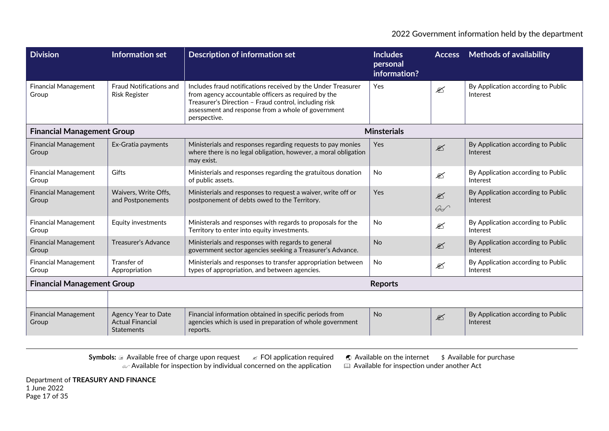| <b>Division</b>                      | <b>Information set</b>                                              | <b>Description of information set</b>                                                                                                                                                                                                              | <b>Includes</b><br>personal<br>information? | <b>Access</b>                            | <b>Methods of availability</b>                 |
|--------------------------------------|---------------------------------------------------------------------|----------------------------------------------------------------------------------------------------------------------------------------------------------------------------------------------------------------------------------------------------|---------------------------------------------|------------------------------------------|------------------------------------------------|
| <b>Financial Management</b><br>Group | <b>Fraud Notifications and</b><br><b>Risk Register</b>              | Includes fraud notifications received by the Under Treasurer<br>from agency accountable officers as required by the<br>Treasurer's Direction - Fraud control, including risk<br>assessment and response from a whole of government<br>perspective. | Yes                                         | $\mathscr{L}$                            | By Application according to Public<br>Interest |
| <b>Financial Management Group</b>    |                                                                     |                                                                                                                                                                                                                                                    | <b>Minsterials</b>                          |                                          |                                                |
| <b>Financial Management</b><br>Group | Ex-Gratia payments                                                  | Ministerials and responses regarding requests to pay monies<br>where there is no legal obligation, however, a moral obligation<br>may exist.                                                                                                       | Yes                                         | $\mathscr{L}$                            | By Application according to Public<br>Interest |
| <b>Financial Management</b><br>Group | Gifts                                                               | Ministerials and responses regarding the gratuitous donation<br>of public assets.                                                                                                                                                                  | <b>No</b>                                   | $\mathscr{L}$                            | By Application according to Public<br>Interest |
| <b>Financial Management</b><br>Group | Waivers, Write Offs,<br>and Postponements                           | Ministerials and responses to request a waiver, write off or<br>postponement of debts owed to the Territory.                                                                                                                                       | Yes                                         | $\mathscr{\mathscr{L}}$<br>$\mathscr{L}$ | By Application according to Public<br>Interest |
| <b>Financial Management</b><br>Group | Equity investments                                                  | Ministerals and responses with regards to proposals for the<br>Territory to enter into equity investments.                                                                                                                                         | <b>No</b>                                   | €                                        | By Application according to Public<br>Interest |
| <b>Financial Management</b><br>Group | <b>Treasurer's Advance</b>                                          | Ministerials and responses with regards to general<br>government sector agencies seeking a Treasurer's Advance.                                                                                                                                    | <b>No</b>                                   | $\mathscr{L}$                            | By Application according to Public<br>Interest |
| <b>Financial Management</b><br>Group | Transfer of<br>Appropriation                                        | Ministerials and responses to transfer appropriation between<br>types of appropriation, and between agencies.                                                                                                                                      | <b>No</b>                                   | ⊠                                        | By Application according to Public<br>Interest |
| <b>Financial Management Group</b>    |                                                                     |                                                                                                                                                                                                                                                    | <b>Reports</b>                              |                                          |                                                |
|                                      |                                                                     |                                                                                                                                                                                                                                                    |                                             |                                          |                                                |
| <b>Financial Management</b><br>Group | Agency Year to Date<br><b>Actual Financial</b><br><b>Statements</b> | Financial information obtained in specific periods from<br>agencies which is used in preparation of whole government<br>reports.                                                                                                                   | <b>No</b>                                   | $\mathscr{L}$                            | By Application according to Public<br>Interest |

Department of **TREASURY AND FINANCE** 1 June 2022 Page 17 of 35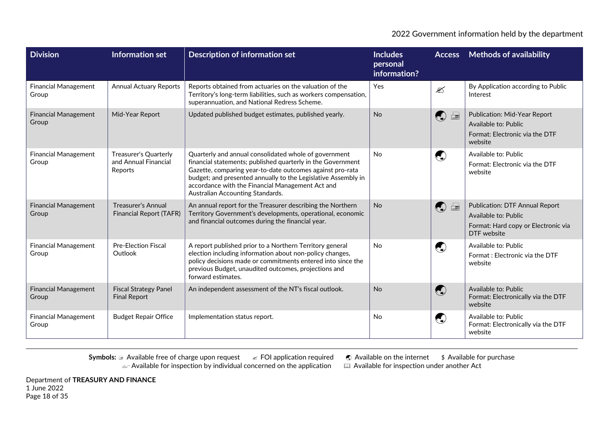| <b>Division</b>                      | Information set                                                 | <b>Description of information set</b>                                                                                                                                                                                                                                                                                                      | <b>Includes</b><br>personal<br>information? |                        | <b>Access</b> Methods of availability                                                                               |
|--------------------------------------|-----------------------------------------------------------------|--------------------------------------------------------------------------------------------------------------------------------------------------------------------------------------------------------------------------------------------------------------------------------------------------------------------------------------------|---------------------------------------------|------------------------|---------------------------------------------------------------------------------------------------------------------|
| <b>Financial Management</b><br>Group | <b>Annual Actuary Reports</b>                                   | Reports obtained from actuaries on the valuation of the<br>Territory's long-term liabilities, such as workers compensation,<br>superannuation, and National Redress Scheme.                                                                                                                                                                | Yes                                         | ✍                      | By Application according to Public<br>Interest                                                                      |
| <b>Financial Management</b><br>Group | Mid-Year Report                                                 | Updated published budget estimates, published yearly.                                                                                                                                                                                                                                                                                      | <b>No</b>                                   | $\bigodot$<br>$\equiv$ | Publication: Mid-Year Report<br>Available to: Public<br>Format: Electronic via the DTF<br>website                   |
| <b>Financial Management</b><br>Group | <b>Treasurer's Quarterly</b><br>and Annual Financial<br>Reports | Quarterly and annual consolidated whole of government<br>financial statements; published quarterly in the Government<br>Gazette, comparing year-to-date outcomes against pro-rata<br>budget; and presented annually to the Legislative Assembly in<br>accordance with the Financial Management Act and<br>Australian Accounting Standards. | <b>No</b>                                   | $\bigodot$             | Available to: Public<br>Format: Electronic via the DTF<br>website                                                   |
| <b>Financial Management</b><br>Group | <b>Treasurer's Annual</b><br><b>Financial Report (TAFR)</b>     | An annual report for the Treasurer describing the Northern<br>Territory Government's developments, operational, economic<br>and financial outcomes during the financial year.                                                                                                                                                              | <b>No</b>                                   | $\bigcirc$<br>$\equiv$ | <b>Publication: DTF Annual Report</b><br>Available to: Public<br>Format: Hard copy or Electronic via<br>DTF website |
| <b>Financial Management</b><br>Group | <b>Pre-Election Fiscal</b><br>Outlook                           | A report published prior to a Northern Territory general<br>election including information about non-policy changes,<br>policy decisions made or commitments entered into since the<br>previous Budget, unaudited outcomes, projections and<br>forward estimates.                                                                          | <b>No</b>                                   | $\bigodot$             | Available to: Public<br>Format: Electronic via the DTF<br>website                                                   |
| <b>Financial Management</b><br>Group | <b>Fiscal Strategy Panel</b><br><b>Final Report</b>             | An independent assessment of the NT's fiscal outlook.                                                                                                                                                                                                                                                                                      | <b>No</b>                                   | $\bigodot$             | Available to: Public<br>Format: Electronically via the DTF<br>website                                               |
| <b>Financial Management</b><br>Group | <b>Budget Repair Office</b>                                     | Implementation status report.                                                                                                                                                                                                                                                                                                              | No                                          | $\bigcirc$             | Available to: Public<br>Format: Electronically via the DTF<br>website                                               |

Department of **TREASURY AND FINANCE** 1 June 2022 Page 18 of 35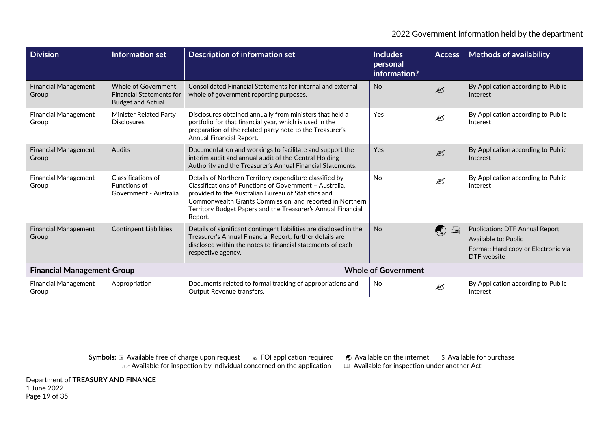| <b>Division</b>                      | Information set                                                                    | <b>Description of information set</b>                                                                                                                                                                                                                                                                            | <b>Includes</b><br>personal<br>information? | <b>Access</b>                          | <b>Methods of availability</b>                                                                                      |
|--------------------------------------|------------------------------------------------------------------------------------|------------------------------------------------------------------------------------------------------------------------------------------------------------------------------------------------------------------------------------------------------------------------------------------------------------------|---------------------------------------------|----------------------------------------|---------------------------------------------------------------------------------------------------------------------|
| <b>Financial Management</b><br>Group | Whole of Government<br><b>Financial Statements for</b><br><b>Budget and Actual</b> | Consolidated Financial Statements for internal and external<br>whole of government reporting purposes.                                                                                                                                                                                                           | <b>No</b>                                   | $\mathscr{L}$                          | By Application according to Public<br>Interest                                                                      |
| <b>Financial Management</b><br>Group | Minister Related Party<br><b>Disclosures</b>                                       | Disclosures obtained annually from ministers that held a<br>portfolio for that financial year, which is used in the<br>preparation of the related party note to the Treasurer's<br>Annual Financial Report.                                                                                                      | Yes                                         | ⊠                                      | By Application according to Public<br>Interest                                                                      |
| <b>Financial Management</b><br>Group | Audits                                                                             | Documentation and workings to facilitate and support the<br>interim audit and annual audit of the Central Holding<br>Authority and the Treasurer's Annual Financial Statements.                                                                                                                                  | Yes                                         | $\mathscr{L}$                          | By Application according to Public<br>Interest                                                                      |
| <b>Financial Management</b><br>Group | Classifications of<br>Functions of<br>Government - Australia                       | Details of Northern Territory expenditure classified by<br>Classifications of Functions of Government - Australia,<br>provided to the Australian Bureau of Statistics and<br>Commonwealth Grants Commission, and reported in Northern<br>Territory Budget Papers and the Treasurer's Annual Financial<br>Report. | <b>No</b>                                   | €                                      | By Application according to Public<br>Interest                                                                      |
| <b>Financial Management</b><br>Group | <b>Contingent Liabilities</b>                                                      | Details of significant contingent liabilities are disclosed in the<br>Treasurer's Annual Financial Report; further details are<br>disclosed within the notes to financial statements of each<br>respective agency.                                                                                               | <b>No</b>                                   | $\begin{pmatrix} 1 \\ 2 \end{pmatrix}$ | <b>Publication: DTF Annual Report</b><br>Available to: Public<br>Format: Hard copy or Electronic via<br>DTF website |
| <b>Financial Management Group</b>    | <b>Whole of Government</b>                                                         |                                                                                                                                                                                                                                                                                                                  |                                             |                                        |                                                                                                                     |
| <b>Financial Management</b><br>Group | Appropriation                                                                      | Documents related to formal tracking of appropriations and<br>Output Revenue transfers.                                                                                                                                                                                                                          | <b>No</b>                                   | ⊠                                      | By Application according to Public<br>Interest                                                                      |

**Symbols: a Available free of charge upon request ∠ FOI application required ● Available on the internet \$ Available for purchase**  $\omega$  Available for inspection by individual concerned on the application  $\quad \quad \boxplus \,$  Available for inspection under another Act

Department of **TREASURY AND FINANCE** 1 June 2022 Page 19 of 35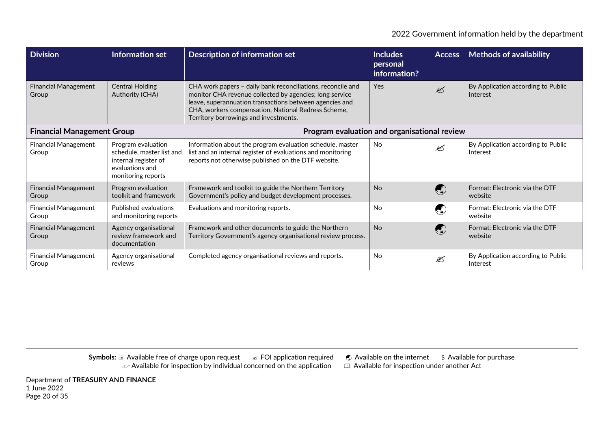| <b>Division</b>                      | <b>Information set</b>                                                                                           | <b>Description of information set</b>                                                                                                                                                                                                                                             | <b>Includes</b><br>personal<br>information?  | <b>Access</b>                                                      | <b>Methods of availability</b>                 |
|--------------------------------------|------------------------------------------------------------------------------------------------------------------|-----------------------------------------------------------------------------------------------------------------------------------------------------------------------------------------------------------------------------------------------------------------------------------|----------------------------------------------|--------------------------------------------------------------------|------------------------------------------------|
| <b>Financial Management</b><br>Group | <b>Central Holding</b><br>Authority (CHA)                                                                        | CHA work papers - daily bank reconciliations, reconcile and<br>monitor CHA revenue collected by agencies; long service<br>leave, superannuation transactions between agencies and<br>CHA, workers compensation, National Redress Scheme,<br>Territory borrowings and investments. | Yes                                          | $\mathbb{Z}$                                                       | By Application according to Public<br>Interest |
| <b>Financial Management Group</b>    |                                                                                                                  |                                                                                                                                                                                                                                                                                   | Program evaluation and organisational review |                                                                    |                                                |
| <b>Financial Management</b><br>Group | Program evaluation<br>schedule, master list and<br>internal register of<br>evaluations and<br>monitoring reports | Information about the program evaluation schedule, master<br>list and an internal register of evaluations and monitoring<br>reports not otherwise published on the DTF website.                                                                                                   | <b>No</b>                                    | ⊠                                                                  | By Application according to Public<br>Interest |
| <b>Financial Management</b><br>Group | Program evaluation<br>toolkit and framework                                                                      | Framework and toolkit to guide the Northern Territory<br>Government's policy and budget development processes.                                                                                                                                                                    | <b>No</b>                                    | $\left(\begin{smallmatrix} 1 \\ 1 \\ 2 \end{smallmatrix}\right)$   | Format: Electronic via the DTF<br>website      |
| <b>Financial Management</b><br>Group | Published evaluations<br>and monitoring reports                                                                  | Evaluations and monitoring reports.                                                                                                                                                                                                                                               | <b>No</b>                                    | $\left(\begin{smallmatrix} 1\\ 1\\ 1\\ 1 \end{smallmatrix}\right)$ | Format: Electronic via the DTF<br>website      |
| <b>Financial Management</b><br>Group | Agency organisational<br>review framework and<br>documentation                                                   | Framework and other documents to guide the Northern<br>Territory Government's agency organisational review process.                                                                                                                                                               | <b>No</b>                                    | $\left(\begin{smallmatrix} 1\\ 1\\ 0 \end{smallmatrix}\right)$     | Format: Electronic via the DTF<br>website      |
| <b>Financial Management</b><br>Group | Agency organisational<br>reviews                                                                                 | Completed agency organisational reviews and reports.                                                                                                                                                                                                                              | <b>No</b>                                    | €                                                                  | By Application according to Public<br>Interest |

Department of **TREASURY AND FINANCE** 1 June 2022 Page 20 of 35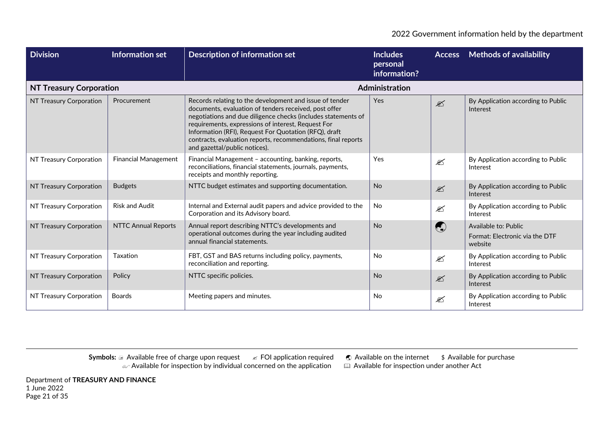| <b>Division</b>                | Information set             | <b>Description of information set</b>                                                                                                                                                                                                                                                                                                                                                              | <b>Includes</b><br>personal<br>information? | <b>Access</b>           | <b>Methods of availability</b>                                    |
|--------------------------------|-----------------------------|----------------------------------------------------------------------------------------------------------------------------------------------------------------------------------------------------------------------------------------------------------------------------------------------------------------------------------------------------------------------------------------------------|---------------------------------------------|-------------------------|-------------------------------------------------------------------|
| <b>NT Treasury Corporation</b> |                             |                                                                                                                                                                                                                                                                                                                                                                                                    | Administration                              |                         |                                                                   |
| NT Treasury Corporation        | Procurement                 | Records relating to the development and issue of tender<br>documents, evaluation of tenders received, post offer<br>negotiations and due diligence checks (includes statements of<br>requirements, expressions of interest, Request For<br>Information (RFI), Request For Quotation (RFQ), draft<br>contracts, evaluation reports, recommendations, final reports<br>and gazettal/public notices). | Yes                                         | $\mathscr{\mathscr{L}}$ | By Application according to Public<br>Interest                    |
| NT Treasury Corporation        | <b>Financial Management</b> | Financial Management - accounting, banking, reports,<br>reconciliations, financial statements, journals, payments,<br>receipts and monthly reporting.                                                                                                                                                                                                                                              | Yes                                         | ⊠                       | By Application according to Public<br>Interest                    |
| NT Treasury Corporation        | <b>Budgets</b>              | NTTC budget estimates and supporting documentation.                                                                                                                                                                                                                                                                                                                                                | <b>No</b>                                   | $\mathscr{\mathscr{L}}$ | By Application according to Public<br>Interest                    |
| NT Treasury Corporation        | <b>Risk and Audit</b>       | Internal and External audit papers and advice provided to the<br>Corporation and its Advisory board.                                                                                                                                                                                                                                                                                               | <b>No</b>                                   | ⊠                       | By Application according to Public<br>Interest                    |
| NT Treasury Corporation        | <b>NTTC Annual Reports</b>  | Annual report describing NTTC's developments and<br>operational outcomes during the year including audited<br>annual financial statements.                                                                                                                                                                                                                                                         | <b>No</b>                                   | $\bigodot$              | Available to: Public<br>Format: Electronic via the DTF<br>website |
| NT Treasury Corporation        | Taxation                    | FBT, GST and BAS returns including policy, payments,<br>reconciliation and reporting.                                                                                                                                                                                                                                                                                                              | <b>No</b>                                   | $\mathscr{L}$           | By Application according to Public<br>Interest                    |
| NT Treasury Corporation        | Policy                      | NTTC specific policies.                                                                                                                                                                                                                                                                                                                                                                            | <b>No</b>                                   | $\mathscr{\mathscr{L}}$ | By Application according to Public<br>Interest                    |
| NT Treasury Corporation        | <b>Boards</b>               | Meeting papers and minutes.                                                                                                                                                                                                                                                                                                                                                                        | <b>No</b>                                   | ⊠                       | By Application according to Public<br>Interest                    |

**Symbols: a Available free of charge upon request ∠ FOI application required ● Available on the internet \$ Available for purchase**  $\omega$  Available for inspection by individual concerned on the application  $\quad \quad \boxplus \,$  Available for inspection under another Act

Department of **TREASURY AND FINANCE** 1 June 2022 Page 21 of 35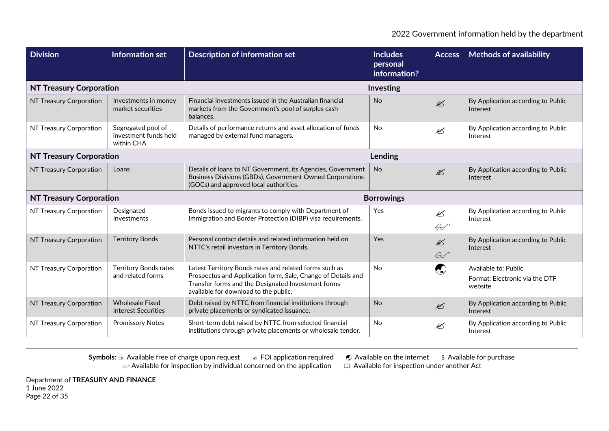| <b>Division</b>                | <b>Information set</b>                                    | <b>Description of information set</b>                                                                                                                                                                                 | <b>Includes</b><br>personal<br>information? | <b>Access</b>                            | <b>Methods of availability</b>                                    |  |
|--------------------------------|-----------------------------------------------------------|-----------------------------------------------------------------------------------------------------------------------------------------------------------------------------------------------------------------------|---------------------------------------------|------------------------------------------|-------------------------------------------------------------------|--|
| <b>NT Treasury Corporation</b> |                                                           |                                                                                                                                                                                                                       | Investing                                   |                                          |                                                                   |  |
| NT Treasury Corporation        | Investments in money<br>market securities                 | Financial investments issued in the Australian financial<br>markets from the Government's pool of surplus cash<br>balances.                                                                                           | No                                          | $\mathscr{\mathscr{L}}$                  | By Application according to Public<br>Interest                    |  |
| NT Treasury Corporation        | Segregated pool of<br>investment funds held<br>within CHA | Details of performance returns and asset allocation of funds<br>managed by external fund managers.                                                                                                                    | <b>No</b>                                   | $\mathscr{\mathscr{E}}$                  | By Application according to Public<br>Interest                    |  |
| <b>NT Treasury Corporation</b> |                                                           |                                                                                                                                                                                                                       | Lending                                     |                                          |                                                                   |  |
| NT Treasury Corporation        | Loans                                                     | Details of loans to NT Government, its Agencies, Government<br>Business Divisions (GBDs), Government Owned Corporations<br>(GOCs) and approved local authorities.                                                     | <b>No</b>                                   | $\mathscr{\mathscr{L}}$                  | By Application according to Public<br>Interest                    |  |
| <b>NT Treasury Corporation</b> |                                                           |                                                                                                                                                                                                                       | <b>Borrowings</b>                           |                                          |                                                                   |  |
| NT Treasury Corporation        | Designated<br>Investments                                 | Bonds issued to migrants to comply with Department of<br>Immigration and Border Protection (DIBP) visa requirements.                                                                                                  | Yes                                         | $\mathscr{\mathscr{E}}$<br>$\mathscr{G}$ | By Application according to Public<br>Interest                    |  |
| NT Treasury Corporation        | <b>Territory Bonds</b>                                    | Personal contact details and related information held on<br>NTTC's retail investors in Territory Bonds.                                                                                                               | Yes                                         | $\mathscr{\mathscr{L}}$<br>$\mathscr{L}$ | By Application according to Public<br>Interest                    |  |
| NT Treasury Corporation        | <b>Territory Bonds rates</b><br>and related forms         | Latest Territory Bonds rates and related forms such as<br>Prospectus and Application form, Sale, Change of Details and<br>Transfer forms and the Designated Investment forms<br>available for download to the public. | No                                          | $\bigcirc$                               | Available to: Public<br>Format: Electronic via the DTF<br>website |  |
| NT Treasury Corporation        | <b>Wholesale Fixed</b><br><b>Interest Securities</b>      | Debt raised by NTTC from financial institutions through<br>private placements or syndicated issuance.                                                                                                                 | <b>No</b>                                   | $\mathbb{Z}$                             | By Application according to Public<br>Interest                    |  |
| NT Treasury Corporation        | <b>Promissory Notes</b>                                   | Short-term debt raised by NTTC from selected financial<br>institutions through private placements or wholesale tender.                                                                                                | <b>No</b>                                   | €                                        | By Application according to Public<br>Interest                    |  |

Department of **TREASURY AND FINANCE** 1 June 2022 Page 22 of 35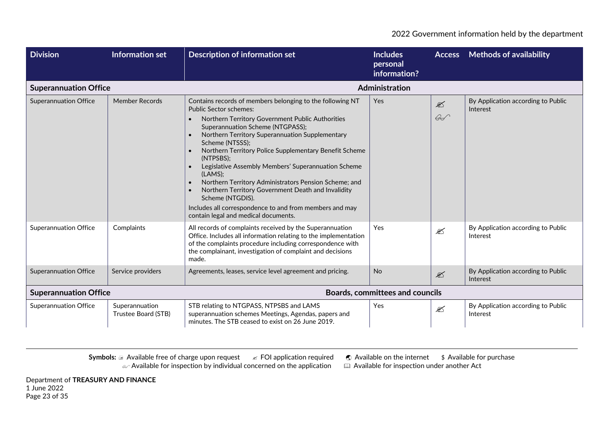| <b>Division</b>              | <b>Information set</b>                | <b>Description of information set</b>                                                                                                                                                                                                                                                                                                                                                                                                                                                                                                                                                                                                   | <b>Includes</b><br>personal<br>information? | <b>Access</b>                            | <b>Methods of availability</b>                 |
|------------------------------|---------------------------------------|-----------------------------------------------------------------------------------------------------------------------------------------------------------------------------------------------------------------------------------------------------------------------------------------------------------------------------------------------------------------------------------------------------------------------------------------------------------------------------------------------------------------------------------------------------------------------------------------------------------------------------------------|---------------------------------------------|------------------------------------------|------------------------------------------------|
| <b>Superannuation Office</b> |                                       |                                                                                                                                                                                                                                                                                                                                                                                                                                                                                                                                                                                                                                         | Administration                              |                                          |                                                |
| <b>Superannuation Office</b> | <b>Member Records</b>                 | Contains records of members belonging to the following NT<br><b>Public Sector schemes:</b><br>Northern Territory Government Public Authorities<br>Superannuation Scheme (NTGPASS);<br>Northern Territory Superannuation Supplementary<br>Scheme (NTSSS);<br>Northern Territory Police Supplementary Benefit Scheme<br>(NTPSBS);<br>Legislative Assembly Members' Superannuation Scheme<br>(LAMS);<br>Northern Territory Administrators Pension Scheme; and<br>Northern Territory Government Death and Invalidity<br>Scheme (NTGDIS).<br>Includes all correspondence to and from members and may<br>contain legal and medical documents. | Yes                                         | $\mathscr{\mathscr{L}}$<br>$\mathscr{G}$ | By Application according to Public<br>Interest |
| <b>Superannuation Office</b> | Complaints                            | All records of complaints received by the Superannuation<br>Office. Includes all information relating to the implementation<br>of the complaints procedure including correspondence with<br>the complainant, investigation of complaint and decisions<br>made.                                                                                                                                                                                                                                                                                                                                                                          | Yes                                         | $\mathscr{L}$                            | By Application according to Public<br>Interest |
| <b>Superannuation Office</b> | Service providers                     | Agreements, leases, service level agreement and pricing.                                                                                                                                                                                                                                                                                                                                                                                                                                                                                                                                                                                | No                                          | $\mathscr{L}$                            | By Application according to Public<br>Interest |
| <b>Superannuation Office</b> |                                       |                                                                                                                                                                                                                                                                                                                                                                                                                                                                                                                                                                                                                                         | <b>Boards, committees and councils</b>      |                                          |                                                |
| <b>Superannuation Office</b> | Superannuation<br>Trustee Board (STB) | STB relating to NTGPASS, NTPSBS and LAMS<br>superannuation schemes Meetings, Agendas, papers and<br>minutes. The STB ceased to exist on 26 June 2019.                                                                                                                                                                                                                                                                                                                                                                                                                                                                                   | Yes                                         | $\mathscr{\mathscr{L}}$                  | By Application according to Public<br>Interest |

**Symbols: a Available free of charge upon request ∠ FOI application required ● Available on the internet \$ Available for purchase**  $\omega$  Available for inspection by individual concerned on the application  $\quad \quad \boxplus \,$  Available for inspection under another Act

Department of **TREASURY AND FINANCE** 1 June 2022 Page 23 of 35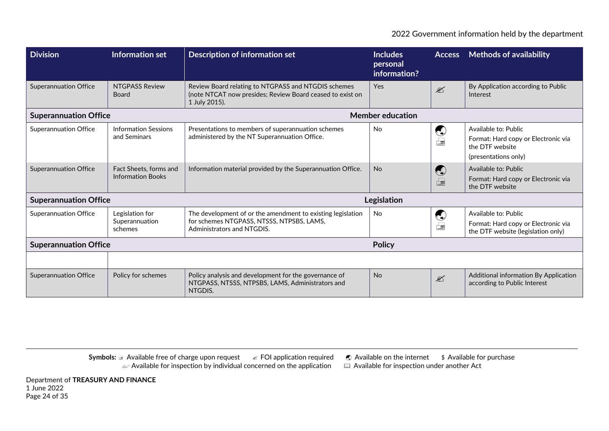| <b>Division</b>              | Information set                                    | Description of information set                                                                                                         | <b>Includes</b><br>personal<br>information? | <b>Access</b>                                                                | <b>Methods of availability</b>                                                                         |
|------------------------------|----------------------------------------------------|----------------------------------------------------------------------------------------------------------------------------------------|---------------------------------------------|------------------------------------------------------------------------------|--------------------------------------------------------------------------------------------------------|
| <b>Superannuation Office</b> | <b>NTGPASS Review</b><br>Board                     | Review Board relating to NTGPASS and NTGDIS schemes<br>(note NTCAT now presides; Review Board ceased to exist on<br>1 July 2015).      | Yes                                         | $\mathscr{L}$                                                                | By Application according to Public<br>Interest                                                         |
| <b>Superannuation Office</b> |                                                    |                                                                                                                                        | <b>Member education</b>                     |                                                                              |                                                                                                        |
| <b>Superannuation Office</b> | <b>Information Sessions</b><br>and Seminars        | Presentations to members of superannuation schemes<br>administered by the NT Superannuation Office.                                    | <b>No</b>                                   | $\bigcirc$<br>$\Box$                                                         | Available to: Public<br>Format: Hard copy or Electronic via<br>the DTF website<br>(presentations only) |
| <b>Superannuation Office</b> | Fact Sheets, forms and<br><b>Information Books</b> | Information material provided by the Superannuation Office.                                                                            | <b>No</b>                                   | $\bigodot$                                                                   | Available to: Public<br>Format: Hard copy or Electronic via<br>the DTF website                         |
| <b>Superannuation Office</b> |                                                    |                                                                                                                                        | Legislation                                 |                                                                              |                                                                                                        |
| <b>Superannuation Office</b> | Legislation for<br>Superannuation<br>schemes       | The development of or the amendment to existing legislation<br>for schemes NTGPASS, NTSSS, NTPSBS, LAMS,<br>Administrators and NTGDIS. | <b>No</b>                                   | $\left(\begin{smallmatrix} 1\\ 1\\ 1\\ 1 \end{smallmatrix}\right)$<br>$\Box$ | Available to: Public<br>Format: Hard copy or Electronic via<br>the DTF website (legislation only)      |
| <b>Superannuation Office</b> | <b>Policy</b>                                      |                                                                                                                                        |                                             |                                                                              |                                                                                                        |
|                              |                                                    |                                                                                                                                        |                                             |                                                                              |                                                                                                        |
| <b>Superannuation Office</b> | Policy for schemes                                 | Policy analysis and development for the governance of<br>NTGPASS, NTSSS, NTPSBS, LAMS, Administrators and<br>NTGDIS.                   | <b>No</b>                                   | $\mathscr{L}$                                                                | Additional information By Application<br>according to Public Interest                                  |

**Symbols: a Available free of charge upon request ∠ FOI application required ● Available on the internet \$ Available for purchase**  $\omega$  Available for inspection by individual concerned on the application  $\quad \quad \boxplus \,$  Available for inspection under another Act

Department of **TREASURY AND FINANCE** 1 June 2022 Page 24 of 35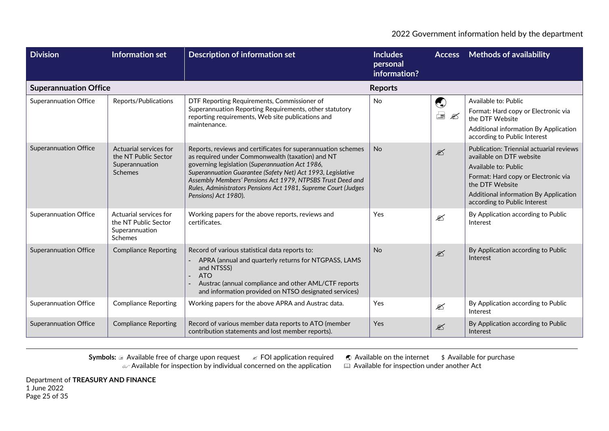| <b>Division</b>              | <b>Information set</b>                                                             | <b>Description of information set</b>                                                                                                                                                                                                                                                                                                                                                      | <b>Includes</b><br>personal<br>information? | <b>Access</b>                     | <b>Methods of availability</b>                                                                                                                                                                                                  |
|------------------------------|------------------------------------------------------------------------------------|--------------------------------------------------------------------------------------------------------------------------------------------------------------------------------------------------------------------------------------------------------------------------------------------------------------------------------------------------------------------------------------------|---------------------------------------------|-----------------------------------|---------------------------------------------------------------------------------------------------------------------------------------------------------------------------------------------------------------------------------|
| <b>Superannuation Office</b> |                                                                                    |                                                                                                                                                                                                                                                                                                                                                                                            | <b>Reports</b>                              |                                   |                                                                                                                                                                                                                                 |
| <b>Superannuation Office</b> | Reports/Publications                                                               | DTF Reporting Requirements, Commissioner of<br>Superannuation Reporting Requirements, other statutory<br>reporting requirements, Web site publications and<br>maintenance.                                                                                                                                                                                                                 | No                                          | $\bigodot$<br>$\equiv \mathbb{Z}$ | Available to: Public<br>Format: Hard copy or Electronic via<br>the DTF Website<br>Additional information By Application<br>according to Public Interest                                                                         |
| <b>Superannuation Office</b> | Actuarial services for<br>the NT Public Sector<br>Superannuation<br><b>Schemes</b> | Reports, reviews and certificates for superannuation schemes<br>as required under Commonwealth (taxation) and NT<br>governing legislation (Superannuation Act 1986,<br>Superannuation Guarantee (Safety Net) Act 1993, Legislative<br>Assembly Members' Pensions Act 1979, NTPSBS Trust Deed and<br>Rules, Administrators Pensions Act 1981, Supreme Court (Judges<br>Pensions) Act 1980). | <b>No</b>                                   | $\mathscr{\mathscr{L}}$           | Publication: Triennial actuarial reviews<br>available on DTF website<br>Available to: Public<br>Format: Hard copy or Electronic via<br>the DTF Website<br>Additional information By Application<br>according to Public Interest |
| <b>Superannuation Office</b> | Actuarial services for<br>the NT Public Sector<br>Superannuation<br>Schemes        | Working papers for the above reports, reviews and<br>certificates.                                                                                                                                                                                                                                                                                                                         | Yes                                         | €                                 | By Application according to Public<br>Interest                                                                                                                                                                                  |
| <b>Superannuation Office</b> | <b>Compliance Reporting</b>                                                        | Record of various statistical data reports to:<br>APRA (annual and quarterly returns for NTGPASS, LAMS<br>and NTSSS)<br><b>ATO</b><br>Austrac (annual compliance and other AML/CTF reports<br>and information provided on NTSO designated services)                                                                                                                                        | <b>No</b>                                   | $\mathscr{\mathscr{E}}$           | By Application according to Public<br>Interest                                                                                                                                                                                  |
| <b>Superannuation Office</b> | <b>Compliance Reporting</b>                                                        | Working papers for the above APRA and Austrac data.                                                                                                                                                                                                                                                                                                                                        | Yes                                         | $\mathscr{\mathscr{E}}$           | By Application according to Public<br>Interest                                                                                                                                                                                  |
| <b>Superannuation Office</b> | <b>Compliance Reporting</b>                                                        | Record of various member data reports to ATO (member<br>contribution statements and lost member reports).                                                                                                                                                                                                                                                                                  | Yes                                         | $\mathscr{\mathscr{E}}$           | By Application according to Public<br>Interest                                                                                                                                                                                  |

**Symbols:** a Available free of charge upon request  $\mathscr{A}$  FOI application required  $\mathscr{A}$  Available on the internet  $\mathscr{A}$  Available for purchase  $\mathscr{A}$  Available for inspection by individual concerned on the appli  $\alpha$  Available for inspection by individual concerned on the application  $\alpha$ 

Department of **TREASURY AND FINANCE** 1 June 2022 Page 25 of 35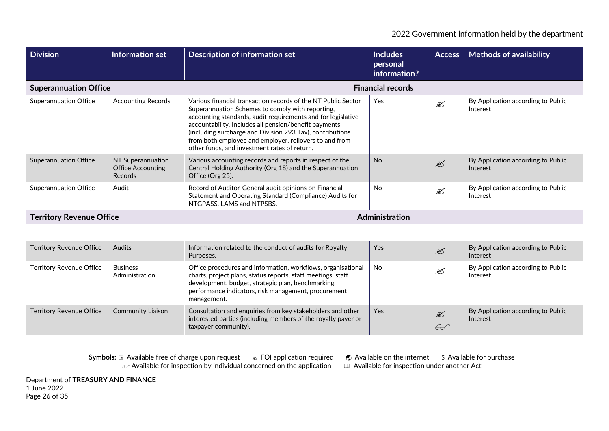| <b>Division</b>                 | <b>Information set</b>                                          | <b>Description of information set</b>                                                                                                                                                                                                                                                                                                                                                                             | <b>Includes</b><br>personal<br>information? | <b>Access</b>                 | <b>Methods of availability</b>                 |  |
|---------------------------------|-----------------------------------------------------------------|-------------------------------------------------------------------------------------------------------------------------------------------------------------------------------------------------------------------------------------------------------------------------------------------------------------------------------------------------------------------------------------------------------------------|---------------------------------------------|-------------------------------|------------------------------------------------|--|
| <b>Superannuation Office</b>    |                                                                 |                                                                                                                                                                                                                                                                                                                                                                                                                   | <b>Financial records</b>                    |                               |                                                |  |
| <b>Superannuation Office</b>    | <b>Accounting Records</b>                                       | Various financial transaction records of the NT Public Sector<br>Superannuation Schemes to comply with reporting,<br>accounting standards, audit requirements and for legislative<br>accountability. Includes all pension/benefit payments<br>(including surcharge and Division 293 Tax), contributions<br>from both employee and employer, rollovers to and from<br>other funds, and investment rates of return. | <b>Yes</b>                                  | $\mathscr{L}$                 | By Application according to Public<br>Interest |  |
| <b>Superannuation Office</b>    | NT Superannuation<br><b>Office Accounting</b><br><b>Records</b> | Various accounting records and reports in respect of the<br>Central Holding Authority (Org 18) and the Superannuation<br>Office (Org 25).                                                                                                                                                                                                                                                                         | <b>No</b>                                   | $\mathscr{\mathscr{L}}$       | By Application according to Public<br>Interest |  |
| <b>Superannuation Office</b>    | Audit                                                           | Record of Auditor-General audit opinions on Financial<br>Statement and Operating Standard (Compliance) Audits for<br>NTGPASS, LAMS and NTPSBS.                                                                                                                                                                                                                                                                    | <b>No</b>                                   | $\mathscr{L}$                 | By Application according to Public<br>Interest |  |
| <b>Territory Revenue Office</b> |                                                                 |                                                                                                                                                                                                                                                                                                                                                                                                                   | Administration                              |                               |                                                |  |
|                                 |                                                                 |                                                                                                                                                                                                                                                                                                                                                                                                                   |                                             |                               |                                                |  |
| <b>Territory Revenue Office</b> | Audits                                                          | Information related to the conduct of audits for Royalty<br>Purposes.                                                                                                                                                                                                                                                                                                                                             | Yes                                         | $\mathscr{\mathscr{L}}$       | By Application according to Public<br>Interest |  |
| <b>Territory Revenue Office</b> | <b>Business</b><br>Administration                               | Office procedures and information, workflows, organisational<br>charts, project plans, status reports, staff meetings, staff<br>development, budget, strategic plan, benchmarking,<br>performance indicators, risk management, procurement<br>management.                                                                                                                                                         | <b>No</b>                                   | $\mathscr{L}$                 | By Application according to Public<br>Interest |  |
| <b>Territory Revenue Office</b> | <b>Community Liaison</b>                                        | Consultation and enquiries from key stakeholders and other<br>interested parties (including members of the royalty payer or<br>taxpayer community).                                                                                                                                                                                                                                                               | Yes                                         | $\mathbb{Z}$<br>$\mathscr{G}$ | By Application according to Public<br>Interest |  |

Department of **TREASURY AND FINANCE** 1 June 2022 Page 26 of 35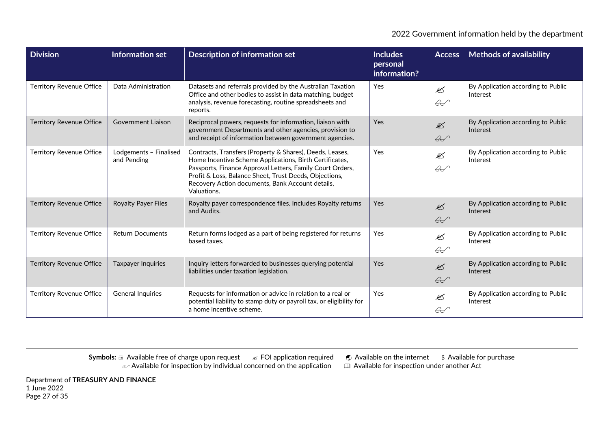| <b>Division</b>                 | Information set                       | <b>Description of information set</b>                                                                                                                                                                                                                                                                         | <b>Includes</b><br>personal<br>information? | <b>Access</b>                            | <b>Methods of availability</b>                 |
|---------------------------------|---------------------------------------|---------------------------------------------------------------------------------------------------------------------------------------------------------------------------------------------------------------------------------------------------------------------------------------------------------------|---------------------------------------------|------------------------------------------|------------------------------------------------|
| <b>Territory Revenue Office</b> | Data Administration                   | Datasets and referrals provided by the Australian Taxation<br>Office and other bodies to assist in data matching, budget<br>analysis, revenue forecasting, routine spreadsheets and<br>reports.                                                                                                               | Yes                                         | $\mathscr{\mathscr{L}}$<br>$\mathscr{L}$ | By Application according to Public<br>Interest |
| <b>Territory Revenue Office</b> | Government Liaison                    | Reciprocal powers, requests for information, liaison with<br>government Departments and other agencies, provision to<br>and receipt of information between government agencies.                                                                                                                               | Yes                                         | $\mathscr{L}$<br>$\mathscr{L}$           | By Application according to Public<br>Interest |
| Territory Revenue Office        | Lodgements - Finalised<br>and Pending | Contracts, Transfers (Property & Shares), Deeds, Leases,<br>Home Incentive Scheme Applications, Birth Certificates,<br>Passports, Finance Approval Letters, Family Court Orders,<br>Profit & Loss, Balance Sheet, Trust Deeds, Objections,<br>Recovery Action documents, Bank Account details,<br>Valuations. | Yes                                         | $\mathfrak{D}$<br>$\mathscr{L}$          | By Application according to Public<br>Interest |
| <b>Territory Revenue Office</b> | <b>Royalty Payer Files</b>            | Royalty payer correspondence files. Includes Royalty returns<br>and Audits.                                                                                                                                                                                                                                   | Yes                                         | $\mathscr{\mathscr{L}}$<br>$\mathscr{G}$ | By Application according to Public<br>Interest |
| <b>Territory Revenue Office</b> | <b>Return Documents</b>               | Return forms lodged as a part of being registered for returns<br>based taxes.                                                                                                                                                                                                                                 | Yes                                         | $\mathscr{\mathscr{L}}$<br>$\mathscr{G}$ | By Application according to Public<br>Interest |
| <b>Territory Revenue Office</b> | <b>Taxpayer Inquiries</b>             | Inquiry letters forwarded to businesses querying potential<br>liabilities under taxation legislation.                                                                                                                                                                                                         | Yes                                         | $\mathcal{L}$<br>$\mathscr{L}$           | By Application according to Public<br>Interest |
| Territory Revenue Office        | <b>General Inquiries</b>              | Requests for information or advice in relation to a real or<br>potential liability to stamp duty or payroll tax, or eligibility for<br>a home incentive scheme.                                                                                                                                               | Yes                                         | $\mathscr{\mathscr{L}}$<br>$\mathscr{L}$ | By Application according to Public<br>Interest |

**Symbols: a Available free of charge upon request ∠ FOI application required ● Available on the internet \$ Available for purchase**  $\omega$  Available for inspection by individual concerned on the application  $\quad \quad \boxplus \,$  Available for inspection under another Act

Department of **TREASURY AND FINANCE** 1 June 2022 Page 27 of 35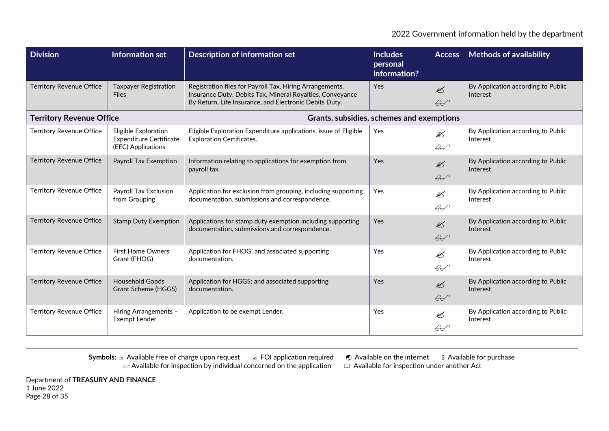| <b>Division</b>                 | Information set                                                              | <b>Description of information set</b>                                                                                                                                           | <b>Includes</b><br>personal<br>information? | <b>Access</b>                            | <b>Methods of availability</b>                 |
|---------------------------------|------------------------------------------------------------------------------|---------------------------------------------------------------------------------------------------------------------------------------------------------------------------------|---------------------------------------------|------------------------------------------|------------------------------------------------|
| <b>Territory Revenue Office</b> | <b>Taxpayer Registration</b><br><b>Files</b>                                 | Registration files for Payroll Tax, Hiring Arrangements,<br>Insurance Duty, Debits Tax, Mineral Royalties, Conveyance<br>By Return, Life Insurance, and Electronic Debits Duty. | Yes                                         | $\mathscr{\mathscr{L}}$<br>$\mathscr{L}$ | By Application according to Public<br>Interest |
| <b>Territory Revenue Office</b> |                                                                              | Grants, subsidies, schemes and exemptions                                                                                                                                       |                                             |                                          |                                                |
| <b>Territory Revenue Office</b> | Eligible Exploration<br><b>Expenditure Certificate</b><br>(EEC) Applications | Eligible Exploration Expenditure applications, issue of Eligible<br><b>Exploration Certificates.</b>                                                                            | Yes                                         | $\mathscr{\mathscr{E}}$<br>$\mathscr{L}$ | By Application according to Public<br>Interest |
| <b>Territory Revenue Office</b> | <b>Payroll Tax Exemption</b>                                                 | Information relating to applications for exemption from<br>payroll tax.                                                                                                         | <b>Yes</b>                                  | $\mathbb{Z}$<br>$\mathscr{L}$            | By Application according to Public<br>Interest |
| <b>Territory Revenue Office</b> | Payroll Tax Exclusion<br>from Grouping                                       | Application for exclusion from grouping, including supporting<br>documentation, submissions and correspondence.                                                                 | <b>Yes</b>                                  | $\mathcal{L}$<br>$\mathscr{L}$           | By Application according to Public<br>Interest |
| <b>Territory Revenue Office</b> | <b>Stamp Duty Exemption</b>                                                  | Applications for stamp duty exemption including supporting<br>documentation, submissions and correspondence.                                                                    | Yes                                         | $\mathcal{L}$<br>$\mathscr{L}$           | By Application according to Public<br>Interest |
| <b>Territory Revenue Office</b> | <b>First Home Owners</b><br>Grant (FHOG)                                     | Application for FHOG; and associated supporting<br>documentation.                                                                                                               | <b>Yes</b>                                  | $\mathscr{\mathscr{E}}$<br>$\mathscr{L}$ | By Application according to Public<br>Interest |
| <b>Territory Revenue Office</b> | <b>Household Goods</b><br>Grant Scheme (HGGS)                                | Application for HGGS; and associated supporting<br>documentation.                                                                                                               | <b>Yes</b>                                  | $\mathscr{\mathscr{L}}$<br>$\mathscr{L}$ | By Application according to Public<br>Interest |
| <b>Territory Revenue Office</b> | Hiring Arrangements -<br>Exempt Lender                                       | Application to be exempt Lender.                                                                                                                                                | Yes                                         | $\mathscr{\mathscr{E}}$<br>$\mathscr{G}$ | By Application according to Public<br>Interest |

**Symbols: a Available free of charge upon request ∠ FOI application required ● Available on the internet \$ Available for purchase**  $\omega$  Available for inspection by individual concerned on the application  $\quad \quad \boxplus \,$  Available for inspection under another Act

Department of **TREASURY AND FINANCE** 1 June 2022 Page 28 of 35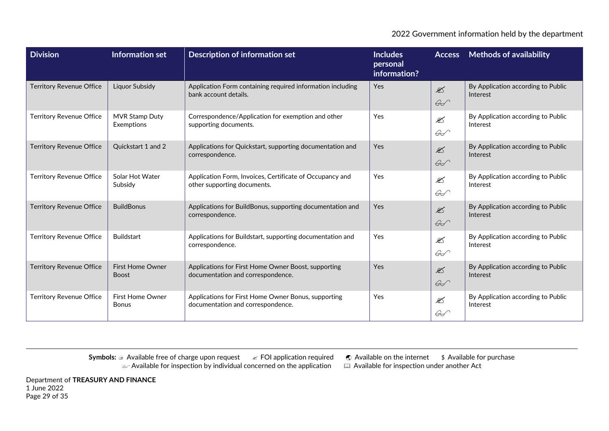| <b>Division</b>                 | Information set                         | <b>Description of information set</b>                                                    | <b>Includes</b><br>personal<br>information? |                                          | <b>Access</b> Methods of availability          |
|---------------------------------|-----------------------------------------|------------------------------------------------------------------------------------------|---------------------------------------------|------------------------------------------|------------------------------------------------|
| <b>Territory Revenue Office</b> | <b>Liquor Subsidy</b>                   | Application Form containing required information including<br>bank account details.      | Yes                                         | $\mathscr{\mathscr{L}}$<br>$\mathscr{L}$ | By Application according to Public<br>Interest |
| <b>Territory Revenue Office</b> | <b>MVR Stamp Duty</b><br>Exemptions     | Correspondence/Application for exemption and other<br>supporting documents.              | Yes                                         | $\mathscr{\mathscr{L}}$<br>$\mathscr{L}$ | By Application according to Public<br>Interest |
| <b>Territory Revenue Office</b> | Quickstart 1 and 2                      | Applications for Quickstart, supporting documentation and<br>correspondence.             | Yes                                         | $\mathscr{\mathscr{E}}$<br>$\mathscr{L}$ | By Application according to Public<br>Interest |
| <b>Territory Revenue Office</b> | Solar Hot Water<br>Subsidy              | Application Form, Invoices, Certificate of Occupancy and<br>other supporting documents.  | Yes                                         | $\mathscr{\mathscr{L}}$<br>$\mathscr{L}$ | By Application according to Public<br>Interest |
| <b>Territory Revenue Office</b> | <b>BuildBonus</b>                       | Applications for BuildBonus, supporting documentation and<br>correspondence.             | Yes                                         | $\mathscr{\mathscr{L}}$<br>$\mathscr{G}$ | By Application according to Public<br>Interest |
| <b>Territory Revenue Office</b> | <b>Buildstart</b>                       | Applications for Buildstart, supporting documentation and<br>correspondence.             | Yes                                         | $\mathscr{\mathscr{L}}$<br>$\mathscr{L}$ | By Application according to Public<br>Interest |
| <b>Territory Revenue Office</b> | <b>First Home Owner</b><br><b>Boost</b> | Applications for First Home Owner Boost, supporting<br>documentation and correspondence. | Yes                                         | $\mathscr{\mathscr{L}}$<br>$\mathscr{L}$ | By Application according to Public<br>Interest |
| <b>Territory Revenue Office</b> | <b>First Home Owner</b><br><b>Bonus</b> | Applications for First Home Owner Bonus, supporting<br>documentation and correspondence. | Yes                                         | $\mathscr{\mathscr{E}}$<br>$\mathscr{L}$ | By Application according to Public<br>Interest |

**Symbols: a Available free of charge upon request ∠ FOI application required ● Available on the internet \$ Available for purchase**  $\omega$  Available for inspection by individual concerned on the application  $\quad \quad \boxplus \,$  Available for inspection under another Act

Department of **TREASURY AND FINANCE** 1 June 2022 Page 29 of 35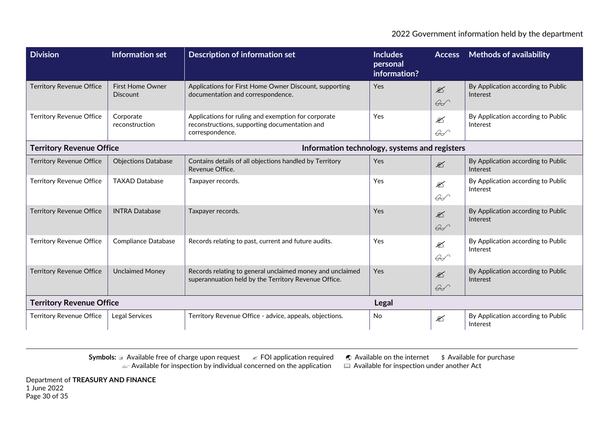| <b>Division</b>                 | Information set                            | <b>Description of information set</b>                                                                                   | <b>Includes</b><br>personal<br>information? | <b>Access</b>                            | <b>Methods of availability</b>                 |
|---------------------------------|--------------------------------------------|-------------------------------------------------------------------------------------------------------------------------|---------------------------------------------|------------------------------------------|------------------------------------------------|
| <b>Territory Revenue Office</b> | <b>First Home Owner</b><br><b>Discount</b> | Applications for First Home Owner Discount, supporting<br>documentation and correspondence.                             | <b>Yes</b>                                  | $\mathscr{L}$<br>$\mathscr{G}$           | By Application according to Public<br>Interest |
| <b>Territory Revenue Office</b> | Corporate<br>reconstruction                | Applications for ruling and exemption for corporate<br>reconstructions, supporting documentation and<br>correspondence. | Yes                                         | <br>$\mathscr{G}$                        | By Application according to Public<br>Interest |
| <b>Territory Revenue Office</b> |                                            | Information technology, systems and registers                                                                           |                                             |                                          |                                                |
| <b>Territory Revenue Office</b> | <b>Objections Database</b>                 | Contains details of all objections handled by Territory<br>Revenue Office.                                              | Yes                                         | $\mathscr{\mathscr{L}}$                  | By Application according to Public<br>Interest |
| <b>Territory Revenue Office</b> | <b>TAXAD Database</b>                      | Taxpayer records.                                                                                                       | Yes                                         | <br>$\mathscr{G}$                        | By Application according to Public<br>Interest |
| <b>Territory Revenue Office</b> | <b>INTRA Database</b>                      | Taxpayer records.                                                                                                       | Yes                                         | $\mathscr{\mathscr{L}}$<br>$\mathscr{L}$ | By Application according to Public<br>Interest |
| <b>Territory Revenue Office</b> | <b>Compliance Database</b>                 | Records relating to past, current and future audits.                                                                    | Yes                                         | €<br>$\mathscr{L}$                       | By Application according to Public<br>Interest |
| <b>Territory Revenue Office</b> | <b>Unclaimed Money</b>                     | Records relating to general unclaimed money and unclaimed<br>superannuation held by the Territory Revenue Office.       | Yes                                         | $\mathbb{Z}$<br>$\mathscr{L}$            | By Application according to Public<br>Interest |
| <b>Territory Revenue Office</b> |                                            |                                                                                                                         | <b>Legal</b>                                |                                          |                                                |
| <b>Territory Revenue Office</b> | Legal Services                             | Territory Revenue Office - advice, appeals, objections.                                                                 | No                                          |                                          | By Application according to Public<br>Interest |

**Symbols: a Available free of charge upon request ∠ FOI application required ● Available on the internet \$ Available for purchase**  $\omega$  Available for inspection by individual concerned on the application  $\quad \quad \boxplus \,$  Available for inspection under another Act

Department of **TREASURY AND FINANCE** 1 June 2022 Page 30 of 35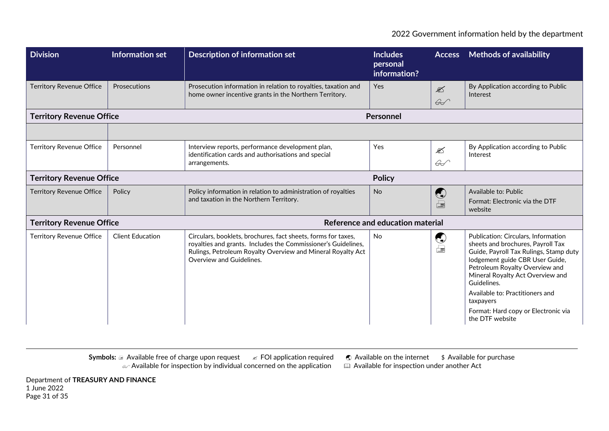| <b>Division</b>                 | Information set         | <b>Description of information set</b>                                                                                                                                                                                     | <b>Includes</b><br>personal<br>information? | <b>Access</b>                            | <b>Methods of availability</b>                                                                                                                                                                                                                                                                                                                       |  |
|---------------------------------|-------------------------|---------------------------------------------------------------------------------------------------------------------------------------------------------------------------------------------------------------------------|---------------------------------------------|------------------------------------------|------------------------------------------------------------------------------------------------------------------------------------------------------------------------------------------------------------------------------------------------------------------------------------------------------------------------------------------------------|--|
| <b>Territory Revenue Office</b> | Prosecutions            | Prosecution information in relation to royalties, taxation and<br>home owner incentive grants in the Northern Territory.                                                                                                  | Yes                                         | $\mathscr{\mathscr{L}}$<br>$\mathscr{L}$ | By Application according to Public<br>Interest                                                                                                                                                                                                                                                                                                       |  |
| <b>Territory Revenue Office</b> |                         |                                                                                                                                                                                                                           | Personnel                                   |                                          |                                                                                                                                                                                                                                                                                                                                                      |  |
|                                 |                         |                                                                                                                                                                                                                           |                                             |                                          |                                                                                                                                                                                                                                                                                                                                                      |  |
| <b>Territory Revenue Office</b> | Personnel               | Interview reports, performance development plan,<br>identification cards and authorisations and special<br>arrangements.                                                                                                  | Yes                                         | $\mathscr{\mathscr{E}}$<br>$\mathscr{G}$ | By Application according to Public<br>Interest                                                                                                                                                                                                                                                                                                       |  |
| <b>Territory Revenue Office</b> |                         |                                                                                                                                                                                                                           | <b>Policy</b>                               |                                          |                                                                                                                                                                                                                                                                                                                                                      |  |
| <b>Territory Revenue Office</b> | Policy                  | Policy information in relation to administration of royalties<br>and taxation in the Northern Territory.                                                                                                                  | <b>No</b>                                   | $\bigodot$<br>$\Box$                     | Available to: Public<br>Format: Electronic via the DTF<br>website                                                                                                                                                                                                                                                                                    |  |
| <b>Territory Revenue Office</b> |                         |                                                                                                                                                                                                                           | Reference and education material            |                                          |                                                                                                                                                                                                                                                                                                                                                      |  |
| <b>Territory Revenue Office</b> | <b>Client Education</b> | Circulars, booklets, brochures, fact sheets, forms for taxes,<br>royalties and grants. Includes the Commissioner's Guidelines,<br>Rulings, Petroleum Royalty Overview and Mineral Royalty Act<br>Overview and Guidelines. | <b>No</b>                                   | $\bigodot$<br>$\equiv$                   | Publication: Circulars, Information<br>sheets and brochures, Payroll Tax<br>Guide, Payroll Tax Rulings, Stamp duty<br>lodgement guide CBR User Guide,<br>Petroleum Royalty Overview and<br>Mineral Royalty Act Overview and<br>Guidelines.<br>Available to: Practitioners and<br>taxpayers<br>Format: Hard copy or Electronic via<br>the DTF website |  |

Department of **TREASURY AND FINANCE** 1 June 2022 Page 31 of 35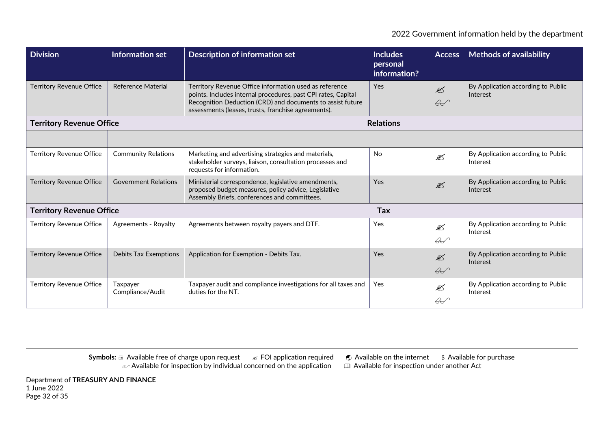| <b>Division</b>                 | Information set              | <b>Description of information set</b>                                                                                                                                                                                                        | <b>Includes</b><br>personal<br>information? | <b>Access</b>                            | <b>Methods of availability</b>                 |
|---------------------------------|------------------------------|----------------------------------------------------------------------------------------------------------------------------------------------------------------------------------------------------------------------------------------------|---------------------------------------------|------------------------------------------|------------------------------------------------|
| <b>Territory Revenue Office</b> | <b>Reference Material</b>    | Territory Revenue Office information used as reference<br>points. Includes internal procedures, past CPI rates, Capital<br>Recognition Deduction (CRD) and documents to assist future<br>assessments (leases, trusts, franchise agreements). | <b>Yes</b>                                  | $\mathscr{\mathscr{L}}$<br>$\mathscr{L}$ | By Application according to Public<br>Interest |
| <b>Territory Revenue Office</b> |                              |                                                                                                                                                                                                                                              | <b>Relations</b>                            |                                          |                                                |
|                                 |                              |                                                                                                                                                                                                                                              |                                             |                                          |                                                |
| <b>Territory Revenue Office</b> | <b>Community Relations</b>   | Marketing and advertising strategies and materials,<br>stakeholder surveys, liaison, consultation processes and<br>requests for information.                                                                                                 | <b>No</b>                                   | ⊠                                        | By Application according to Public<br>Interest |
| <b>Territory Revenue Office</b> | <b>Government Relations</b>  | Ministerial correspondence, legislative amendments,<br>proposed budget measures, policy advice, Legislative<br>Assembly Briefs, conferences and committees.                                                                                  | <b>Yes</b>                                  | $\mathscr{L}$                            | By Application according to Public<br>Interest |
| <b>Territory Revenue Office</b> |                              |                                                                                                                                                                                                                                              | <b>Tax</b>                                  |                                          |                                                |
| <b>Territory Revenue Office</b> | Agreements - Royalty         | Agreements between royalty payers and DTF.                                                                                                                                                                                                   | Yes                                         | $\mathscr{\mathscr{E}}$<br>$\mathscr{L}$ | By Application according to Public<br>Interest |
| <b>Territory Revenue Office</b> | <b>Debits Tax Exemptions</b> | Application for Exemption - Debits Tax.                                                                                                                                                                                                      | Yes                                         | $\mathscr{\mathscr{L}}$<br>$\mathscr{G}$ | By Application according to Public<br>Interest |
| <b>Territory Revenue Office</b> | Taxpayer<br>Compliance/Audit | Taxpayer audit and compliance investigations for all taxes and<br>duties for the NT.                                                                                                                                                         | Yes                                         | $\mathscr{\mathscr{E}}$<br>$\mathscr{L}$ | By Application according to Public<br>Interest |

**Symbols: a Available free of charge upon request ∠ FOI application required ● Available on the internet \$ Available for purchase**  $\omega$  Available for inspection by individual concerned on the application  $\quad \quad \boxplus \,$  Available for inspection under another Act

Department of **TREASURY AND FINANCE** 1 June 2022 Page 32 of 35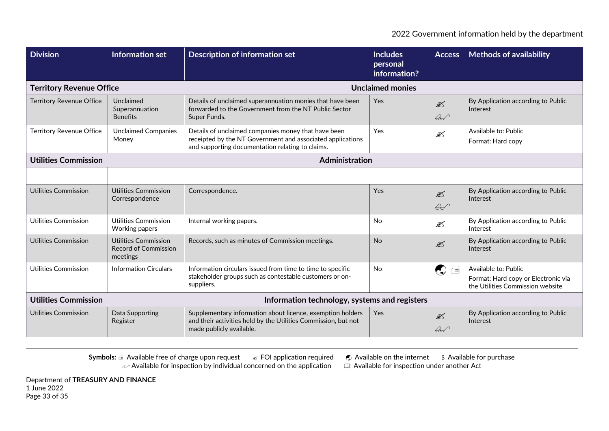| <b>Division</b>                 | <b>Information set</b>                                                 | <b>Description of information set</b>                                                                                                                                 | <b>Includes</b><br>personal<br>information? | <b>Access</b>                            | <b>Methods of availability</b>                                                                  |
|---------------------------------|------------------------------------------------------------------------|-----------------------------------------------------------------------------------------------------------------------------------------------------------------------|---------------------------------------------|------------------------------------------|-------------------------------------------------------------------------------------------------|
| <b>Territory Revenue Office</b> |                                                                        |                                                                                                                                                                       | <b>Unclaimed monies</b>                     |                                          |                                                                                                 |
| <b>Territory Revenue Office</b> | Unclaimed<br>Superannuation<br><b>Benefits</b>                         | Details of unclaimed superannuation monies that have been<br>forwarded to the Government from the NT Public Sector<br>Super Funds.                                    | Yes                                         | $\mathscr{\mathscr{L}}$<br>$\mathscr{G}$ | By Application according to Public<br>Interest                                                  |
| <b>Territory Revenue Office</b> | <b>Unclaimed Companies</b><br>Money                                    | Details of unclaimed companies money that have been<br>receipted by the NT Government and associated applications<br>and supporting documentation relating to claims. | Yes                                         | $\mathscr{L}$                            | Available to: Public<br>Format: Hard copy                                                       |
| <b>Utilities Commission</b>     |                                                                        | Administration                                                                                                                                                        |                                             |                                          |                                                                                                 |
|                                 |                                                                        |                                                                                                                                                                       |                                             |                                          |                                                                                                 |
| <b>Utilities Commission</b>     | Utilities Commission<br>Correspondence                                 | Correspondence.                                                                                                                                                       | Yes                                         | $\mathscr{\mathscr{L}}$<br>$\mathscr{G}$ | By Application according to Public<br>Interest                                                  |
| Utilities Commission            | Utilities Commission<br>Working papers                                 | Internal working papers.                                                                                                                                              | <b>No</b>                                   | $\mathscr{\mathscr{L}}$                  | By Application according to Public<br>Interest                                                  |
| <b>Utilities Commission</b>     | <b>Utilities Commission</b><br><b>Record of Commission</b><br>meetings | Records, such as minutes of Commission meetings.                                                                                                                      | <b>No</b>                                   | $\mathscr{\mathscr{L}}$                  | By Application according to Public<br>Interest                                                  |
| Utilities Commission            | <b>Information Circulars</b>                                           | Information circulars issued from time to time to specific<br>stakeholder groups such as contestable customers or on-<br>suppliers.                                   | <b>No</b>                                   | $\bigcirc$                               | Available to: Public<br>Format: Hard copy or Electronic via<br>the Utilities Commission website |
| <b>Utilities Commission</b>     |                                                                        | Information technology, systems and registers                                                                                                                         |                                             |                                          |                                                                                                 |
| Utilities Commission            | Data Supporting<br>Register                                            | Supplementary information about licence, exemption holders<br>and their activities held by the Utilities Commission, but not<br>made publicly available.              | Yes                                         | $\mathscr{\mathscr{L}}$<br>$\mathscr{A}$ | By Application according to Public<br>Interest                                                  |

Department of **TREASURY AND FINANCE** 1 June 2022 Page 33 of 35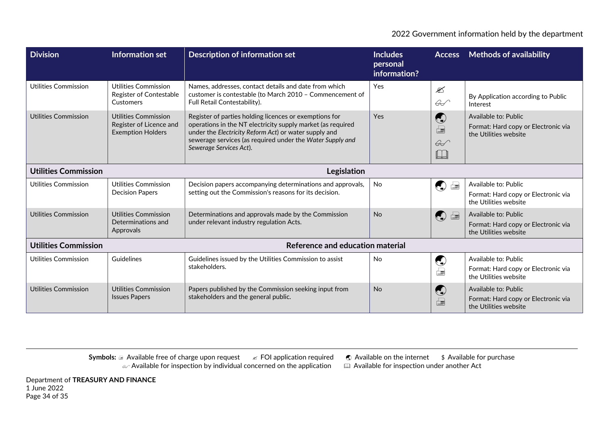| <b>Division</b>                            | Information set                                                             | <b>Description of information set</b>                                                                                                                                                                                                                                  | <b>Includes</b><br>personal<br>information? | <b>Access</b>                                                   | <b>Methods of availability</b>                                                       |  |
|--------------------------------------------|-----------------------------------------------------------------------------|------------------------------------------------------------------------------------------------------------------------------------------------------------------------------------------------------------------------------------------------------------------------|---------------------------------------------|-----------------------------------------------------------------|--------------------------------------------------------------------------------------|--|
| <b>Utilities Commission</b>                | Utilities Commission<br>Register of Contestable<br>Customers                | Names, addresses, contact details and date from which<br>customer is contestable (to March 2010 - Commencement of<br>Full Retail Contestability).                                                                                                                      | Yes                                         | $\mathscr{\mathscr{E}}$<br>$\mathscr{L}$                        | By Application according to Public<br>Interest                                       |  |
| Utilities Commission                       | Utilities Commission<br>Register of Licence and<br><b>Exemption Holders</b> | Register of parties holding licences or exemptions for<br>operations in the NT electricity supply market (as required<br>under the Electricity Reform Act) or water supply and<br>sewerage services (as required under the Water Supply and<br>Sewerage Services Act). | Yes                                         | $\bigodot$<br>$\boxed{\blacksquare}$<br>$\mathscr{L}$<br>$\Box$ | Available to: Public<br>Format: Hard copy or Electronic via<br>the Utilities website |  |
| <b>Utilities Commission</b><br>Legislation |                                                                             |                                                                                                                                                                                                                                                                        |                                             |                                                                 |                                                                                      |  |
| Utilities Commission                       | Utilities Commission<br><b>Decision Papers</b>                              | Decision papers accompanying determinations and approvals,<br>setting out the Commission's reasons for its decision.                                                                                                                                                   | No                                          | $\begin{pmatrix} 1 \\ 2 \end{pmatrix}$<br>$\Box$                | Available to: Public<br>Format: Hard copy or Electronic via<br>the Utilities website |  |
| Utilities Commission                       | <b>Utilities Commission</b><br>Determinations and<br>Approvals              | Determinations and approvals made by the Commission<br>under relevant industry regulation Acts.                                                                                                                                                                        | No                                          | $\Box$<br>$\begin{pmatrix} 1 \\ 2 \end{pmatrix}$                | Available to: Public<br>Format: Hard copy or Electronic via<br>the Utilities website |  |
| <b>Utilities Commission</b>                |                                                                             | Reference and education material                                                                                                                                                                                                                                       |                                             |                                                                 |                                                                                      |  |
| Utilities Commission                       | Guidelines                                                                  | Guidelines issued by the Utilities Commission to assist<br>stakeholders.                                                                                                                                                                                               | <b>No</b>                                   | $\bigcirc$<br>量                                                 | Available to: Public<br>Format: Hard copy or Electronic via<br>the Utilities website |  |
| Utilities Commission                       | <b>Utilities Commission</b><br><b>Issues Papers</b>                         | Papers published by the Commission seeking input from<br>stakeholders and the general public.                                                                                                                                                                          | <b>No</b>                                   | $\bigodot$<br>$\qquad \qquad \qquad \qquad \qquad \qquad$       | Available to: Public<br>Format: Hard copy or Electronic via<br>the Utilities website |  |

**Symbols: a Available free of charge upon request ∠ FOI application required ● Available on the internet \$ Available for purchase**  $\omega$  Available for inspection by individual concerned on the application  $\quad \quad \boxplus \,$  Available for inspection under another Act

Department of **TREASURY AND FINANCE** 1 June 2022 Page 34 of 35